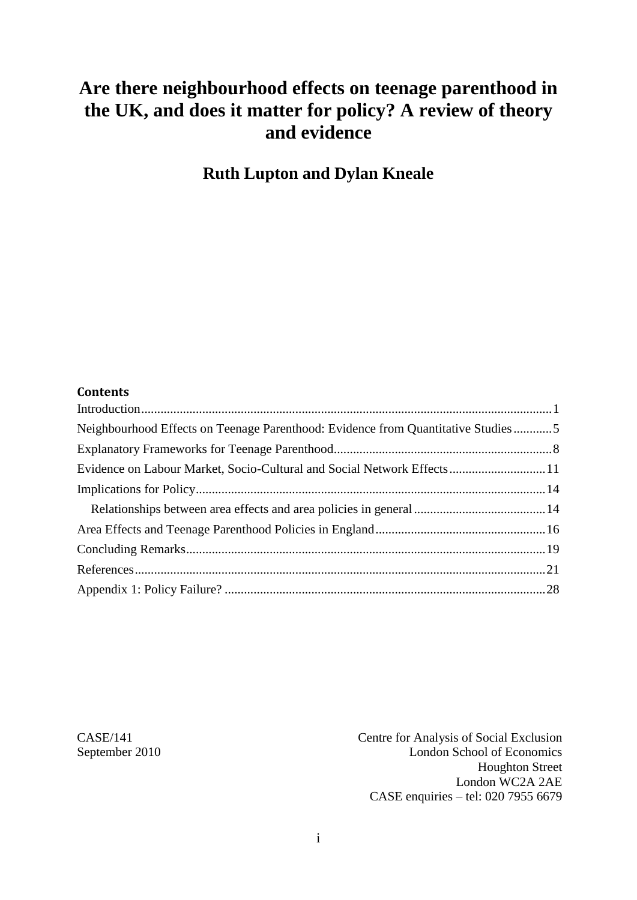# **Are there neighbourhood effects on teenage parenthood in the UK, and does it matter for policy? A review of theory and evidence**

**Ruth Lupton and Dylan Kneale**

#### **Contents**

| Neighbourhood Effects on Teenage Parenthood: Evidence from Quantitative Studies5 |  |
|----------------------------------------------------------------------------------|--|
|                                                                                  |  |
| Evidence on Labour Market, Socio-Cultural and Social Network Effects11           |  |
|                                                                                  |  |
|                                                                                  |  |
|                                                                                  |  |
|                                                                                  |  |
|                                                                                  |  |
|                                                                                  |  |

CASE/141 CASE/141 Centre for Analysis of Social Exclusion September 2010 London School of Economics Houghton Street London WC2A 2AE CASE enquiries – tel: 020 7955 6679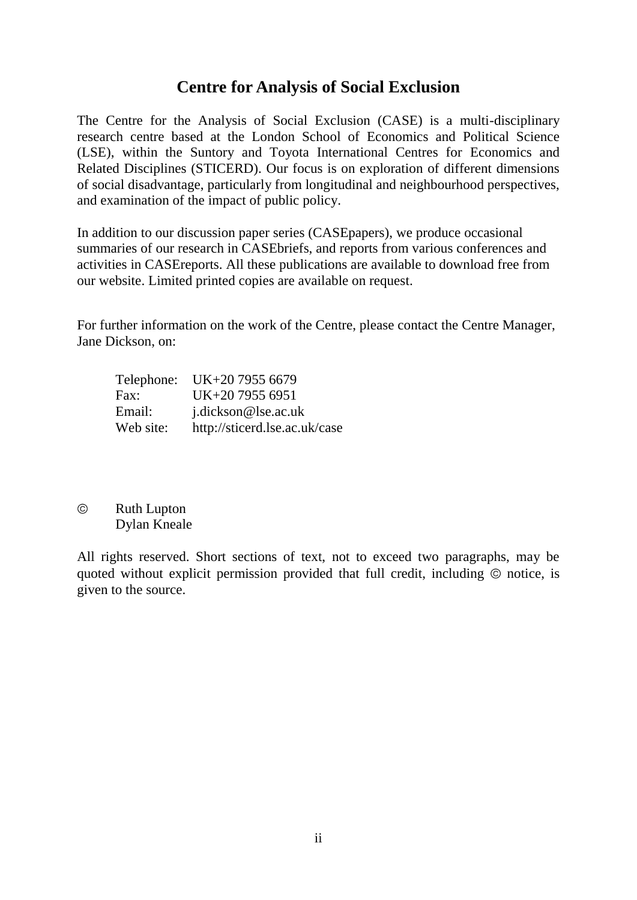# **Centre for Analysis of Social Exclusion**

The Centre for the Analysis of Social Exclusion (CASE) is a multi-disciplinary research centre based at the London School of Economics and Political Science (LSE), within the Suntory and Toyota International Centres for Economics and Related Disciplines (STICERD). Our focus is on exploration of different dimensions of social disadvantage, particularly from longitudinal and neighbourhood perspectives, and examination of the impact of public policy.

In addition to our discussion paper series (CASEpapers), we produce occasional summaries of our research in CASEbriefs, and reports from various conferences and activities in CASEreports. All these publications are available to download free from our website. Limited printed copies are available on request.

For further information on the work of the Centre, please contact the Centre Manager, Jane Dickson, on:

|           | Telephone: UK+20 7955 6679    |
|-----------|-------------------------------|
| Fax:      | UK+20 7955 6951               |
| Email:    | j.dickson@lse.ac.uk           |
| Web site: | http://sticerd.lse.ac.uk/case |

#### $\odot$ Ruth Lupton Dylan Kneale

All rights reserved. Short sections of text, not to exceed two paragraphs, may be quoted without explicit permission provided that full credit, including  $\odot$  notice, is given to the source.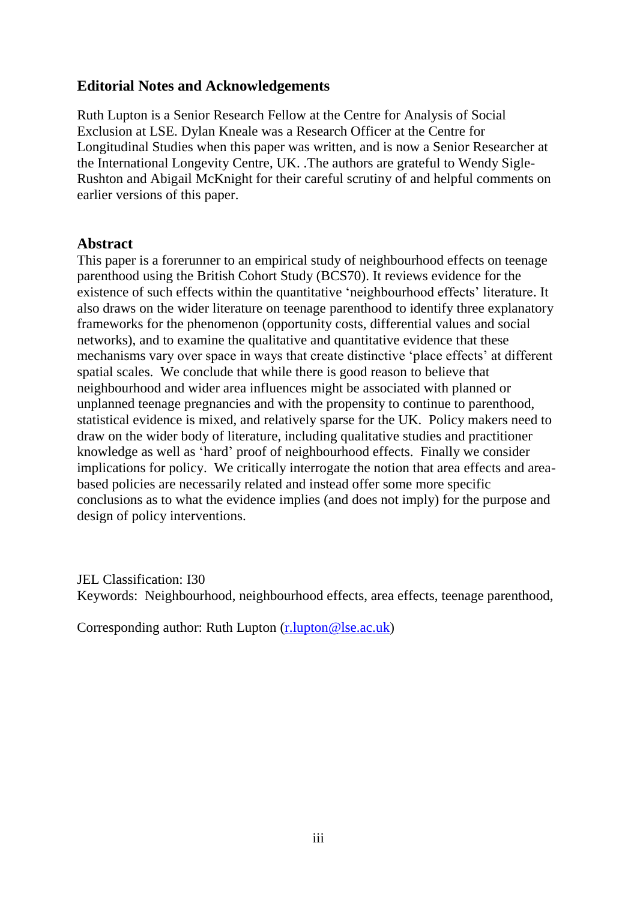### **Editorial Notes and Acknowledgements**

Ruth Lupton is a Senior Research Fellow at the Centre for Analysis of Social Exclusion at LSE. Dylan Kneale was a Research Officer at the Centre for Longitudinal Studies when this paper was written, and is now a Senior Researcher at the International Longevity Centre, UK. .The authors are grateful to Wendy Sigle-Rushton and Abigail McKnight for their careful scrutiny of and helpful comments on earlier versions of this paper.

#### **Abstract**

This paper is a forerunner to an empirical study of neighbourhood effects on teenage parenthood using the British Cohort Study (BCS70). It reviews evidence for the existence of such effects within the quantitative 'neighbourhood effects' literature. It also draws on the wider literature on teenage parenthood to identify three explanatory frameworks for the phenomenon (opportunity costs, differential values and social networks), and to examine the qualitative and quantitative evidence that these mechanisms vary over space in ways that create distinctive 'place effects' at different spatial scales. We conclude that while there is good reason to believe that neighbourhood and wider area influences might be associated with planned or unplanned teenage pregnancies and with the propensity to continue to parenthood, statistical evidence is mixed, and relatively sparse for the UK. Policy makers need to draw on the wider body of literature, including qualitative studies and practitioner knowledge as well as "hard" proof of neighbourhood effects. Finally we consider implications for policy. We critically interrogate the notion that area effects and areabased policies are necessarily related and instead offer some more specific conclusions as to what the evidence implies (and does not imply) for the purpose and design of policy interventions.

JEL Classification: I30

Keywords: Neighbourhood, neighbourhood effects, area effects, teenage parenthood,

Corresponding author: Ruth Lupton [\(r.lupton@lse.ac.uk\)](mailto:r.lupton@lse.ac.uk)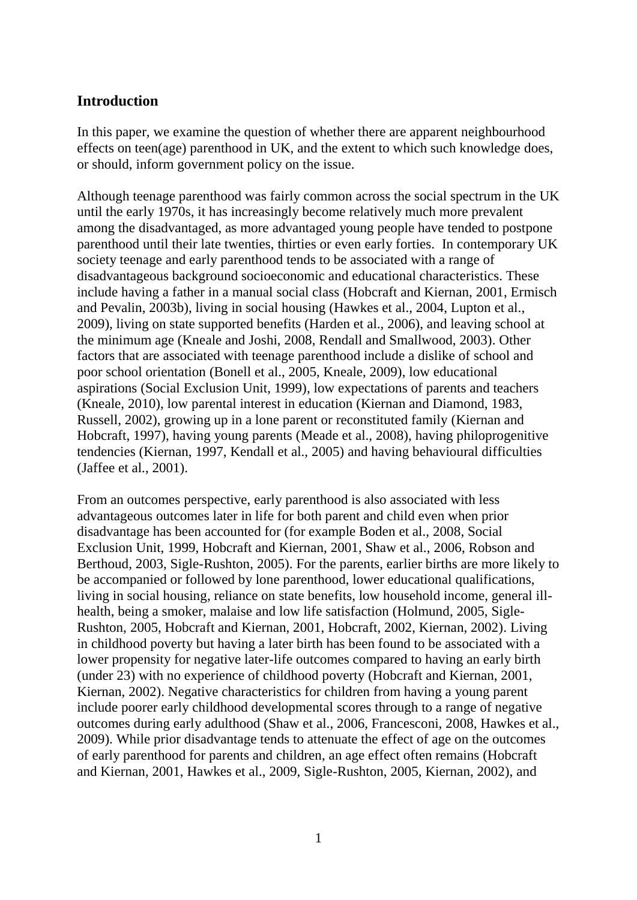### <span id="page-3-0"></span>**Introduction**

In this paper, we examine the question of whether there are apparent neighbourhood effects on teen(age) parenthood in UK, and the extent to which such knowledge does, or should, inform government policy on the issue.

Although teenage parenthood was fairly common across the social spectrum in the UK until the early 1970s, it has increasingly become relatively much more prevalent among the disadvantaged, as more advantaged young people have tended to postpone parenthood until their late twenties, thirties or even early forties. In contemporary UK society teenage and early parenthood tends to be associated with a range of disadvantageous background socioeconomic and educational characteristics. These include having a father in a manual social class (Hobcraft and Kiernan, 2001, Ermisch and Pevalin, 2003b), living in social housing (Hawkes et al., 2004, Lupton et al., 2009), living on state supported benefits (Harden et al., 2006), and leaving school at the minimum age (Kneale and Joshi, 2008, Rendall and Smallwood, 2003). Other factors that are associated with teenage parenthood include a dislike of school and poor school orientation (Bonell et al., 2005, Kneale, 2009), low educational aspirations (Social Exclusion Unit, 1999), low expectations of parents and teachers (Kneale, 2010), low parental interest in education (Kiernan and Diamond, 1983, Russell, 2002), growing up in a lone parent or reconstituted family (Kiernan and Hobcraft, 1997), having young parents (Meade et al., 2008), having philoprogenitive tendencies (Kiernan, 1997, Kendall et al., 2005) and having behavioural difficulties (Jaffee et al., 2001).

From an outcomes perspective, early parenthood is also associated with less advantageous outcomes later in life for both parent and child even when prior disadvantage has been accounted for (for example Boden et al., 2008, Social Exclusion Unit, 1999, Hobcraft and Kiernan, 2001, Shaw et al., 2006, Robson and Berthoud, 2003, Sigle-Rushton, 2005). For the parents, earlier births are more likely to be accompanied or followed by lone parenthood, lower educational qualifications, living in social housing, reliance on state benefits, low household income, general illhealth, being a smoker, malaise and low life satisfaction (Holmund, 2005, Sigle-Rushton, 2005, Hobcraft and Kiernan, 2001, Hobcraft, 2002, Kiernan, 2002). Living in childhood poverty but having a later birth has been found to be associated with a lower propensity for negative later-life outcomes compared to having an early birth (under 23) with no experience of childhood poverty (Hobcraft and Kiernan, 2001, Kiernan, 2002). Negative characteristics for children from having a young parent include poorer early childhood developmental scores through to a range of negative outcomes during early adulthood (Shaw et al., 2006, Francesconi, 2008, Hawkes et al., 2009). While prior disadvantage tends to attenuate the effect of age on the outcomes of early parenthood for parents and children, an age effect often remains (Hobcraft and Kiernan, 2001, Hawkes et al., 2009, Sigle-Rushton, 2005, Kiernan, 2002), and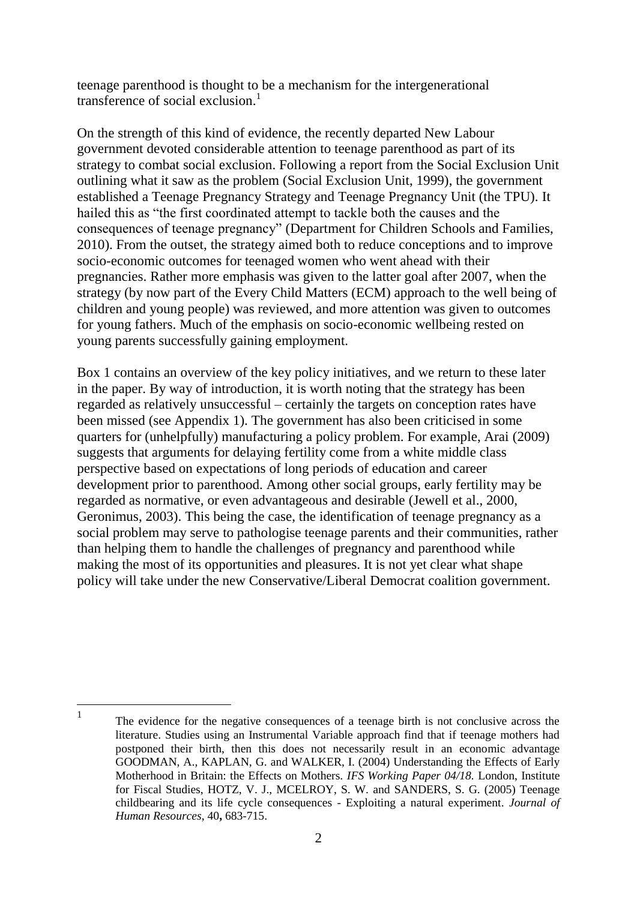teenage parenthood is thought to be a mechanism for the intergenerational transference of social exclusion. 1

On the strength of this kind of evidence, the recently departed New Labour government devoted considerable attention to teenage parenthood as part of its strategy to combat social exclusion. Following a report from the Social Exclusion Unit outlining what it saw as the problem (Social Exclusion Unit, 1999), the government established a Teenage Pregnancy Strategy and Teenage Pregnancy Unit (the TPU). It hailed this as "the first coordinated attempt to tackle both the causes and the consequences of teenage pregnancy" (Department for Children Schools and Families, 2010). From the outset, the strategy aimed both to reduce conceptions and to improve socio-economic outcomes for teenaged women who went ahead with their pregnancies. Rather more emphasis was given to the latter goal after 2007, when the strategy (by now part of the Every Child Matters (ECM) approach to the well being of children and young people) was reviewed, and more attention was given to outcomes for young fathers. Much of the emphasis on socio-economic wellbeing rested on young parents successfully gaining employment.

Box 1 contains an overview of the key policy initiatives, and we return to these later in the paper. By way of introduction, it is worth noting that the strategy has been regarded as relatively unsuccessful – certainly the targets on conception rates have been missed (see Appendix 1). The government has also been criticised in some quarters for (unhelpfully) manufacturing a policy problem. For example, Arai (2009) suggests that arguments for delaying fertility come from a white middle class perspective based on expectations of long periods of education and career development prior to parenthood. Among other social groups, early fertility may be regarded as normative, or even advantageous and desirable (Jewell et al., 2000, Geronimus, 2003). This being the case, the identification of teenage pregnancy as a social problem may serve to pathologise teenage parents and their communities, rather than helping them to handle the challenges of pregnancy and parenthood while making the most of its opportunities and pleasures. It is not yet clear what shape policy will take under the new Conservative/Liberal Democrat coalition government.

 $\overline{a}$ 1 The evidence for the negative consequences of a teenage birth is not conclusive across the literature. Studies using an Instrumental Variable approach find that if teenage mothers had postponed their birth, then this does not necessarily result in an economic advantage GOODMAN, A., KAPLAN, G. and WALKER, I. (2004) Understanding the Effects of Early Motherhood in Britain: the Effects on Mothers. *IFS Working Paper 04/18.* London, Institute for Fiscal Studies, HOTZ, V. J., MCELROY, S. W. and SANDERS, S. G. (2005) Teenage childbearing and its life cycle consequences - Exploiting a natural experiment. *Journal of Human Resources,* 40**,** 683-715.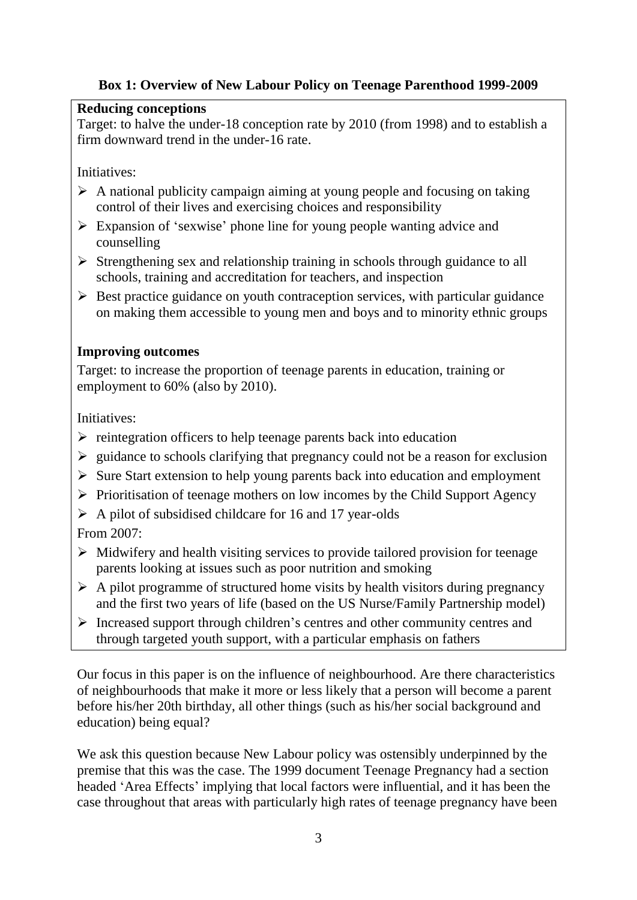# **Box 1: Overview of New Labour Policy on Teenage Parenthood 1999-2009**

#### **Reducing conceptions**

Target: to halve the under-18 conception rate by 2010 (from 1998) and to establish a firm downward trend in the under-16 rate.

Initiatives:

- $\triangleright$  A national publicity campaign aiming at young people and focusing on taking control of their lives and exercising choices and responsibility
- $\triangleright$  Expansion of 'sexwise' phone line for young people wanting advice and counselling
- $\triangleright$  Strengthening sex and relationship training in schools through guidance to all schools, training and accreditation for teachers, and inspection
- $\triangleright$  Best practice guidance on youth contraception services, with particular guidance on making them accessible to young men and boys and to minority ethnic groups

# **Improving outcomes**

Target: to increase the proportion of teenage parents in education, training or employment to 60% (also by 2010).

Initiatives:

- $\triangleright$  reintegration officers to help teenage parents back into education
- $\triangleright$  guidance to schools clarifying that pregnancy could not be a reason for exclusion
- $\triangleright$  Sure Start extension to help young parents back into education and employment
- $\triangleright$  Prioritisation of teenage mothers on low incomes by the Child Support Agency
- $\triangleright$  A pilot of subsidised childcare for 16 and 17 year-olds

From 2007:

- $\triangleright$  Midwifery and health visiting services to provide tailored provision for teenage parents looking at issues such as poor nutrition and smoking
- $\triangleright$  A pilot programme of structured home visits by health visitors during pregnancy and the first two years of life (based on the US Nurse/Family Partnership model)
- $\triangleright$  Increased support through children's centres and other community centres and through targeted youth support, with a particular emphasis on fathers

Our focus in this paper is on the influence of neighbourhood. Are there characteristics of neighbourhoods that make it more or less likely that a person will become a parent before his/her 20th birthday, all other things (such as his/her social background and education) being equal?

We ask this question because New Labour policy was ostensibly underpinned by the premise that this was the case. The 1999 document Teenage Pregnancy had a section headed 'Area Effects' implying that local factors were influential, and it has been the case throughout that areas with particularly high rates of teenage pregnancy have been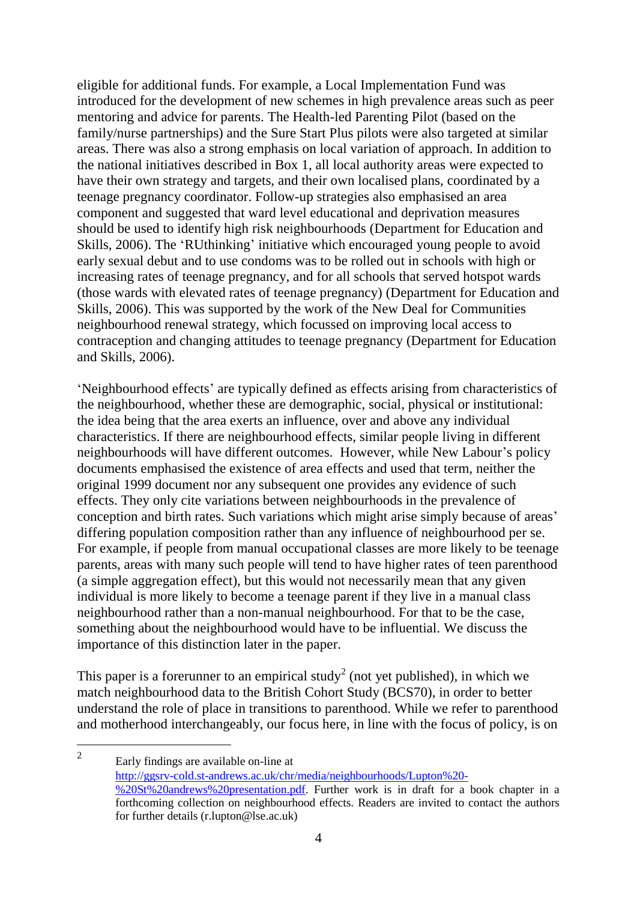eligible for additional funds. For example, a Local Implementation Fund was introduced for the development of new schemes in high prevalence areas such as peer mentoring and advice for parents. The Health-led Parenting Pilot (based on the family/nurse partnerships) and the Sure Start Plus pilots were also targeted at similar areas. There was also a strong emphasis on local variation of approach. In addition to the national initiatives described in Box 1, all local authority areas were expected to have their own strategy and targets, and their own localised plans, coordinated by a teenage pregnancy coordinator. Follow-up strategies also emphasised an area component and suggested that ward level educational and deprivation measures should be used to identify high risk neighbourhoods (Department for Education and Skills, 2006). The 'RUthinking' initiative which encouraged young people to avoid early sexual debut and to use condoms was to be rolled out in schools with high or increasing rates of teenage pregnancy, and for all schools that served hotspot wards (those wards with elevated rates of teenage pregnancy) (Department for Education and Skills, 2006). This was supported by the work of the New Deal for Communities neighbourhood renewal strategy, which focussed on improving local access to contraception and changing attitudes to teenage pregnancy (Department for Education and Skills, 2006).

"Neighbourhood effects" are typically defined as effects arising from characteristics of the neighbourhood, whether these are demographic, social, physical or institutional: the idea being that the area exerts an influence, over and above any individual characteristics. If there are neighbourhood effects, similar people living in different neighbourhoods will have different outcomes. However, while New Labour"s policy documents emphasised the existence of area effects and used that term, neither the original 1999 document nor any subsequent one provides any evidence of such effects. They only cite variations between neighbourhoods in the prevalence of conception and birth rates. Such variations which might arise simply because of areas" differing population composition rather than any influence of neighbourhood per se. For example, if people from manual occupational classes are more likely to be teenage parents, areas with many such people will tend to have higher rates of teen parenthood (a simple aggregation effect), but this would not necessarily mean that any given individual is more likely to become a teenage parent if they live in a manual class neighbourhood rather than a non-manual neighbourhood. For that to be the case, something about the neighbourhood would have to be influential. We discuss the importance of this distinction later in the paper.

This paper is a forerunner to an empirical study<sup>2</sup> (not yet published), in which we match neighbourhood data to the British Cohort Study (BCS70), in order to better understand the role of place in transitions to parenthood. While we refer to parenthood and motherhood interchangeably, our focus here, in line with the focus of policy, is on

 $\overline{a}$ 

<sup>2</sup> Early findings are available on-line at [http://ggsrv-cold.st-andrews.ac.uk/chr/media/neighbourhoods/Lupton%20-](http://ggsrv-cold.st-andrews.ac.uk/chr/media/neighbourhoods/Lupton%20-%20St%20andrews%20presentation.pdf) [%20St%20andrews%20presentation.pdf.](http://ggsrv-cold.st-andrews.ac.uk/chr/media/neighbourhoods/Lupton%20-%20St%20andrews%20presentation.pdf) Further work is in draft for a book chapter in a forthcoming collection on neighbourhood effects. Readers are invited to contact the authors for further details (r.lupton@lse.ac.uk)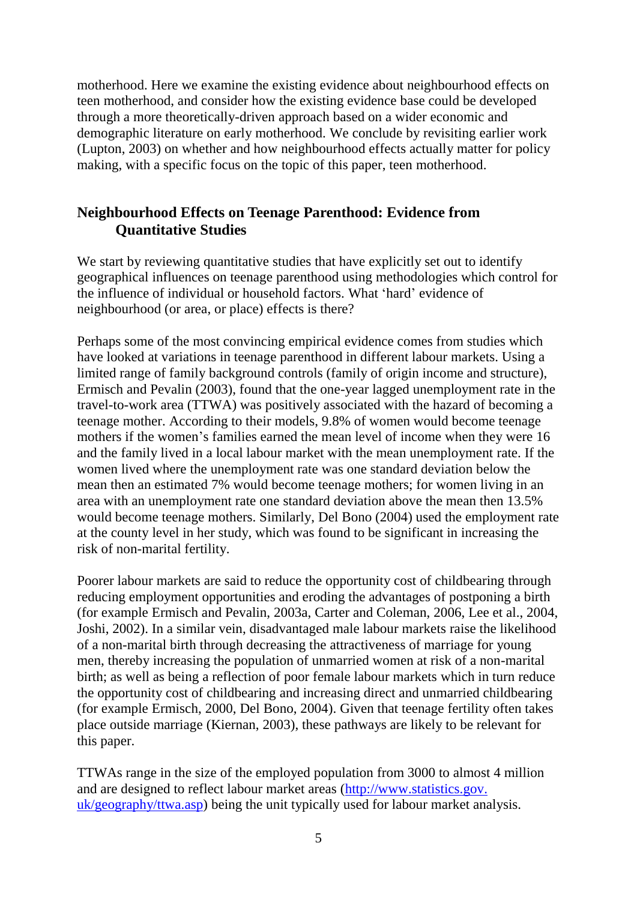motherhood. Here we examine the existing evidence about neighbourhood effects on teen motherhood, and consider how the existing evidence base could be developed through a more theoretically-driven approach based on a wider economic and demographic literature on early motherhood. We conclude by revisiting earlier work (Lupton, 2003) on whether and how neighbourhood effects actually matter for policy making, with a specific focus on the topic of this paper, teen motherhood.

# <span id="page-7-0"></span>**Neighbourhood Effects on Teenage Parenthood: Evidence from Quantitative Studies**

We start by reviewing quantitative studies that have explicitly set out to identify geographical influences on teenage parenthood using methodologies which control for the influence of individual or household factors. What "hard" evidence of neighbourhood (or area, or place) effects is there?

Perhaps some of the most convincing empirical evidence comes from studies which have looked at variations in teenage parenthood in different labour markets. Using a limited range of family background controls (family of origin income and structure), Ermisch and Pevalin (2003), found that the one-year lagged unemployment rate in the travel-to-work area (TTWA) was positively associated with the hazard of becoming a teenage mother. According to their models, 9.8% of women would become teenage mothers if the women"s families earned the mean level of income when they were 16 and the family lived in a local labour market with the mean unemployment rate. If the women lived where the unemployment rate was one standard deviation below the mean then an estimated 7% would become teenage mothers; for women living in an area with an unemployment rate one standard deviation above the mean then 13.5% would become teenage mothers. Similarly, Del Bono (2004) used the employment rate at the county level in her study, which was found to be significant in increasing the risk of non-marital fertility.

Poorer labour markets are said to reduce the opportunity cost of childbearing through reducing employment opportunities and eroding the advantages of postponing a birth (for example Ermisch and Pevalin, 2003a, Carter and Coleman, 2006, Lee et al., 2004, Joshi, 2002). In a similar vein, disadvantaged male labour markets raise the likelihood of a non-marital birth through decreasing the attractiveness of marriage for young men, thereby increasing the population of unmarried women at risk of a non-marital birth; as well as being a reflection of poor female labour markets which in turn reduce the opportunity cost of childbearing and increasing direct and unmarried childbearing (for example Ermisch, 2000, Del Bono, 2004). Given that teenage fertility often takes place outside marriage (Kiernan, 2003), these pathways are likely to be relevant for this paper.

TTWAs range in the size of the employed population from 3000 to almost 4 million and are designed to reflect labour market areas (http://www.statistics.gov. uk/geography/ttwa.asp) being the unit typically used for labour market analysis.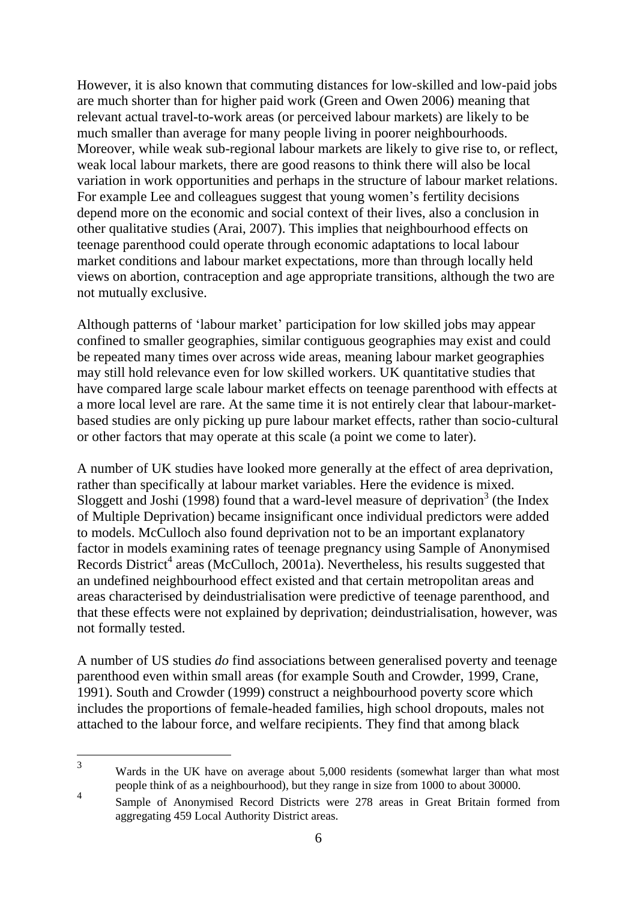However, it is also known that commuting distances for low-skilled and low-paid jobs are much shorter than for higher paid work (Green and Owen 2006) meaning that relevant actual travel-to-work areas (or perceived labour markets) are likely to be much smaller than average for many people living in poorer neighbourhoods. Moreover, while weak sub-regional labour markets are likely to give rise to, or reflect, weak local labour markets, there are good reasons to think there will also be local variation in work opportunities and perhaps in the structure of labour market relations. For example Lee and colleagues suggest that young women"s fertility decisions depend more on the economic and social context of their lives, also a conclusion in other qualitative studies (Arai, 2007). This implies that neighbourhood effects on teenage parenthood could operate through economic adaptations to local labour market conditions and labour market expectations, more than through locally held views on abortion, contraception and age appropriate transitions, although the two are not mutually exclusive.

Although patterns of "labour market" participation for low skilled jobs may appear confined to smaller geographies, similar contiguous geographies may exist and could be repeated many times over across wide areas, meaning labour market geographies may still hold relevance even for low skilled workers. UK quantitative studies that have compared large scale labour market effects on teenage parenthood with effects at a more local level are rare. At the same time it is not entirely clear that labour-marketbased studies are only picking up pure labour market effects, rather than socio-cultural or other factors that may operate at this scale (a point we come to later).

A number of UK studies have looked more generally at the effect of area deprivation, rather than specifically at labour market variables. Here the evidence is mixed. Sloggett and Joshi (1998) found that a ward-level measure of deprivation<sup>3</sup> (the Index of Multiple Deprivation) became insignificant once individual predictors were added to models. McCulloch also found deprivation not to be an important explanatory factor in models examining rates of teenage pregnancy using Sample of Anonymised Records District<sup>4</sup> areas (McCulloch, 2001a). Nevertheless, his results suggested that an undefined neighbourhood effect existed and that certain metropolitan areas and areas characterised by deindustrialisation were predictive of teenage parenthood, and that these effects were not explained by deprivation; deindustrialisation, however, was not formally tested.

A number of US studies *do* find associations between generalised poverty and teenage parenthood even within small areas (for example South and Crowder, 1999, Crane, 1991). South and Crowder (1999) construct a neighbourhood poverty score which includes the proportions of female-headed families, high school dropouts, males not attached to the labour force, and welfare recipients. They find that among black

 $\overline{3}$ Wards in the UK have on average about 5,000 residents (somewhat larger than what most people think of as a neighbourhood), but they range in size from 1000 to about 30000. 4

Sample of Anonymised Record Districts were 278 areas in Great Britain formed from aggregating 459 Local Authority District areas.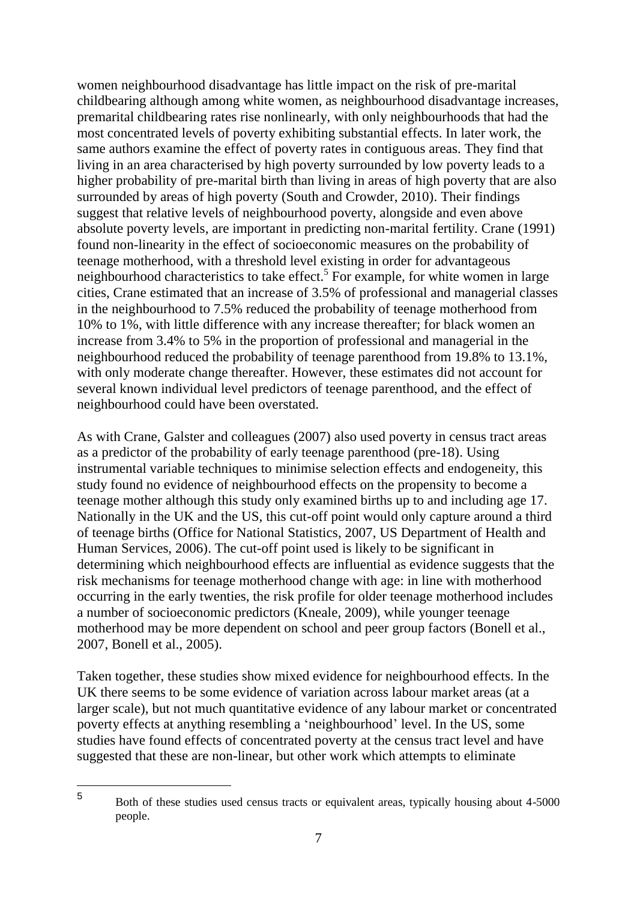women neighbourhood disadvantage has little impact on the risk of pre-marital childbearing although among white women, as neighbourhood disadvantage increases, premarital childbearing rates rise nonlinearly, with only neighbourhoods that had the most concentrated levels of poverty exhibiting substantial effects. In later work, the same authors examine the effect of poverty rates in contiguous areas. They find that living in an area characterised by high poverty surrounded by low poverty leads to a higher probability of pre-marital birth than living in areas of high poverty that are also surrounded by areas of high poverty (South and Crowder, 2010). Their findings suggest that relative levels of neighbourhood poverty, alongside and even above absolute poverty levels, are important in predicting non-marital fertility. Crane (1991) found non-linearity in the effect of socioeconomic measures on the probability of teenage motherhood, with a threshold level existing in order for advantageous neighbourhood characteristics to take effect.<sup>5</sup> For example, for white women in large cities, Crane estimated that an increase of 3.5% of professional and managerial classes in the neighbourhood to 7.5% reduced the probability of teenage motherhood from 10% to 1%, with little difference with any increase thereafter; for black women an increase from 3.4% to 5% in the proportion of professional and managerial in the neighbourhood reduced the probability of teenage parenthood from 19.8% to 13.1%, with only moderate change thereafter. However, these estimates did not account for several known individual level predictors of teenage parenthood, and the effect of neighbourhood could have been overstated.

As with Crane, Galster and colleagues (2007) also used poverty in census tract areas as a predictor of the probability of early teenage parenthood (pre-18). Using instrumental variable techniques to minimise selection effects and endogeneity, this study found no evidence of neighbourhood effects on the propensity to become a teenage mother although this study only examined births up to and including age 17. Nationally in the UK and the US, this cut-off point would only capture around a third of teenage births (Office for National Statistics, 2007, US Department of Health and Human Services, 2006). The cut-off point used is likely to be significant in determining which neighbourhood effects are influential as evidence suggests that the risk mechanisms for teenage motherhood change with age: in line with motherhood occurring in the early twenties, the risk profile for older teenage motherhood includes a number of socioeconomic predictors (Kneale, 2009), while younger teenage motherhood may be more dependent on school and peer group factors (Bonell et al., 2007, Bonell et al., 2005).

Taken together, these studies show mixed evidence for neighbourhood effects. In the UK there seems to be some evidence of variation across labour market areas (at a larger scale), but not much quantitative evidence of any labour market or concentrated poverty effects at anything resembling a "neighbourhood" level. In the US, some studies have found effects of concentrated poverty at the census tract level and have suggested that these are non-linear, but other work which attempts to eliminate

 $\overline{a}$ 5

Both of these studies used census tracts or equivalent areas, typically housing about 4-5000 people.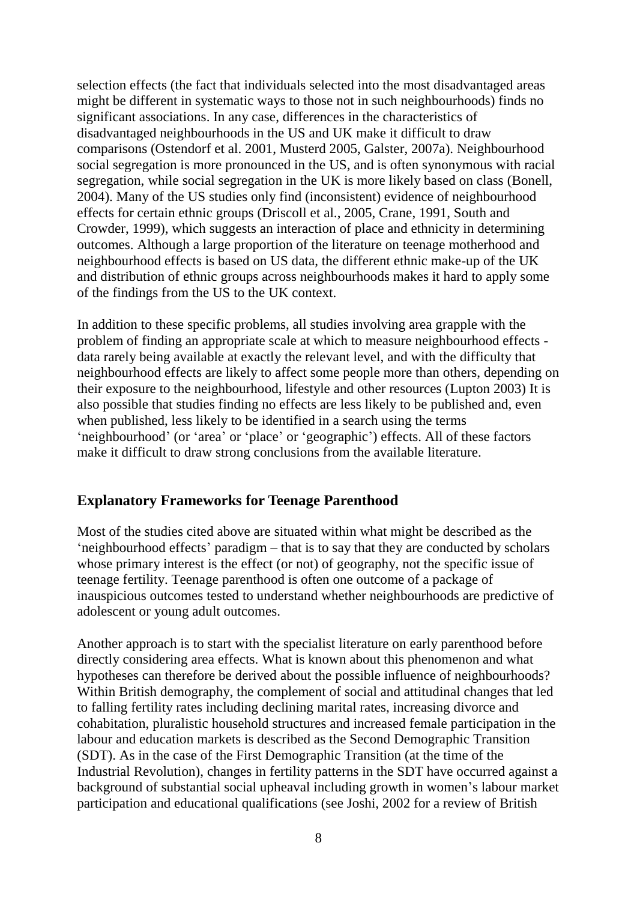selection effects (the fact that individuals selected into the most disadvantaged areas might be different in systematic ways to those not in such neighbourhoods) finds no significant associations. In any case, differences in the characteristics of disadvantaged neighbourhoods in the US and UK make it difficult to draw comparisons (Ostendorf et al. 2001, Musterd 2005, Galster, 2007a). Neighbourhood social segregation is more pronounced in the US, and is often synonymous with racial segregation, while social segregation in the UK is more likely based on class (Bonell, 2004). Many of the US studies only find (inconsistent) evidence of neighbourhood effects for certain ethnic groups (Driscoll et al., 2005, Crane, 1991, South and Crowder, 1999), which suggests an interaction of place and ethnicity in determining outcomes. Although a large proportion of the literature on teenage motherhood and neighbourhood effects is based on US data, the different ethnic make-up of the UK and distribution of ethnic groups across neighbourhoods makes it hard to apply some of the findings from the US to the UK context.

In addition to these specific problems, all studies involving area grapple with the problem of finding an appropriate scale at which to measure neighbourhood effects data rarely being available at exactly the relevant level, and with the difficulty that neighbourhood effects are likely to affect some people more than others, depending on their exposure to the neighbourhood, lifestyle and other resources (Lupton 2003) It is also possible that studies finding no effects are less likely to be published and, even when published, less likely to be identified in a search using the terms 'neighbourhood' (or 'area' or 'place' or 'geographic') effects. All of these factors make it difficult to draw strong conclusions from the available literature.

# <span id="page-10-0"></span>**Explanatory Frameworks for Teenage Parenthood**

Most of the studies cited above are situated within what might be described as the "neighbourhood effects" paradigm – that is to say that they are conducted by scholars whose primary interest is the effect (or not) of geography, not the specific issue of teenage fertility. Teenage parenthood is often one outcome of a package of inauspicious outcomes tested to understand whether neighbourhoods are predictive of adolescent or young adult outcomes.

Another approach is to start with the specialist literature on early parenthood before directly considering area effects. What is known about this phenomenon and what hypotheses can therefore be derived about the possible influence of neighbourhoods? Within British demography, the complement of social and attitudinal changes that led to falling fertility rates including declining marital rates, increasing divorce and cohabitation, pluralistic household structures and increased female participation in the labour and education markets is described as the Second Demographic Transition (SDT). As in the case of the First Demographic Transition (at the time of the Industrial Revolution), changes in fertility patterns in the SDT have occurred against a background of substantial social upheaval including growth in women"s labour market participation and educational qualifications (see Joshi, 2002 for a review of British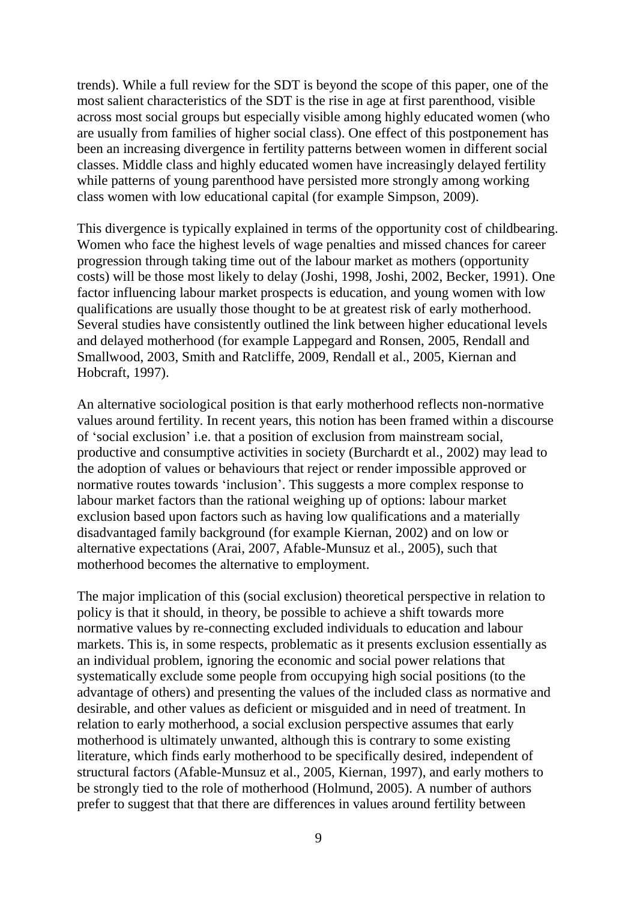trends). While a full review for the SDT is beyond the scope of this paper, one of the most salient characteristics of the SDT is the rise in age at first parenthood, visible across most social groups but especially visible among highly educated women (who are usually from families of higher social class). One effect of this postponement has been an increasing divergence in fertility patterns between women in different social classes. Middle class and highly educated women have increasingly delayed fertility while patterns of young parenthood have persisted more strongly among working class women with low educational capital (for example Simpson, 2009).

This divergence is typically explained in terms of the opportunity cost of childbearing. Women who face the highest levels of wage penalties and missed chances for career progression through taking time out of the labour market as mothers (opportunity costs) will be those most likely to delay (Joshi, 1998, Joshi, 2002, Becker, 1991). One factor influencing labour market prospects is education, and young women with low qualifications are usually those thought to be at greatest risk of early motherhood. Several studies have consistently outlined the link between higher educational levels and delayed motherhood (for example Lappegard and Ronsen, 2005, Rendall and Smallwood, 2003, Smith and Ratcliffe, 2009, Rendall et al., 2005, Kiernan and Hobcraft, 1997).

An alternative sociological position is that early motherhood reflects non-normative values around fertility. In recent years, this notion has been framed within a discourse of "social exclusion" i.e. that a position of exclusion from mainstream social, productive and consumptive activities in society (Burchardt et al., 2002) may lead to the adoption of values or behaviours that reject or render impossible approved or normative routes towards "inclusion". This suggests a more complex response to labour market factors than the rational weighing up of options: labour market exclusion based upon factors such as having low qualifications and a materially disadvantaged family background (for example Kiernan, 2002) and on low or alternative expectations (Arai, 2007, Afable-Munsuz et al., 2005), such that motherhood becomes the alternative to employment.

The major implication of this (social exclusion) theoretical perspective in relation to policy is that it should, in theory, be possible to achieve a shift towards more normative values by re-connecting excluded individuals to education and labour markets. This is, in some respects, problematic as it presents exclusion essentially as an individual problem, ignoring the economic and social power relations that systematically exclude some people from occupying high social positions (to the advantage of others) and presenting the values of the included class as normative and desirable, and other values as deficient or misguided and in need of treatment. In relation to early motherhood, a social exclusion perspective assumes that early motherhood is ultimately unwanted, although this is contrary to some existing literature, which finds early motherhood to be specifically desired, independent of structural factors (Afable-Munsuz et al., 2005, Kiernan, 1997), and early mothers to be strongly tied to the role of motherhood (Holmund, 2005). A number of authors prefer to suggest that that there are differences in values around fertility between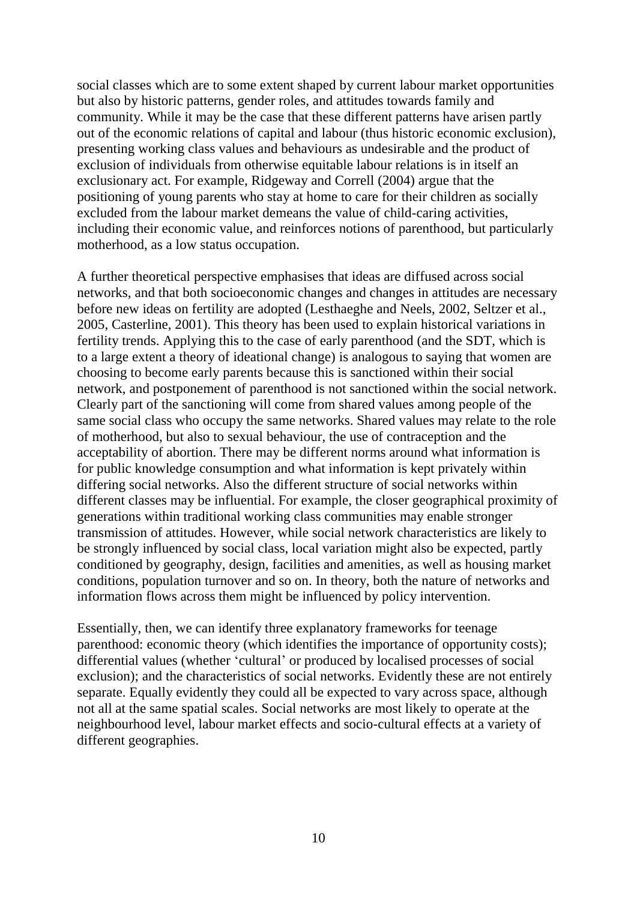social classes which are to some extent shaped by current labour market opportunities but also by historic patterns, gender roles, and attitudes towards family and community. While it may be the case that these different patterns have arisen partly out of the economic relations of capital and labour (thus historic economic exclusion), presenting working class values and behaviours as undesirable and the product of exclusion of individuals from otherwise equitable labour relations is in itself an exclusionary act. For example, Ridgeway and Correll (2004) argue that the positioning of young parents who stay at home to care for their children as socially excluded from the labour market demeans the value of child-caring activities, including their economic value, and reinforces notions of parenthood, but particularly motherhood, as a low status occupation.

A further theoretical perspective emphasises that ideas are diffused across social networks, and that both socioeconomic changes and changes in attitudes are necessary before new ideas on fertility are adopted (Lesthaeghe and Neels, 2002, Seltzer et al., 2005, Casterline, 2001). This theory has been used to explain historical variations in fertility trends. Applying this to the case of early parenthood (and the SDT, which is to a large extent a theory of ideational change) is analogous to saying that women are choosing to become early parents because this is sanctioned within their social network, and postponement of parenthood is not sanctioned within the social network. Clearly part of the sanctioning will come from shared values among people of the same social class who occupy the same networks. Shared values may relate to the role of motherhood, but also to sexual behaviour, the use of contraception and the acceptability of abortion. There may be different norms around what information is for public knowledge consumption and what information is kept privately within differing social networks. Also the different structure of social networks within different classes may be influential. For example, the closer geographical proximity of generations within traditional working class communities may enable stronger transmission of attitudes. However, while social network characteristics are likely to be strongly influenced by social class, local variation might also be expected, partly conditioned by geography, design, facilities and amenities, as well as housing market conditions, population turnover and so on. In theory, both the nature of networks and information flows across them might be influenced by policy intervention.

Essentially, then, we can identify three explanatory frameworks for teenage parenthood: economic theory (which identifies the importance of opportunity costs); differential values (whether "cultural" or produced by localised processes of social exclusion); and the characteristics of social networks. Evidently these are not entirely separate. Equally evidently they could all be expected to vary across space, although not all at the same spatial scales. Social networks are most likely to operate at the neighbourhood level, labour market effects and socio-cultural effects at a variety of different geographies.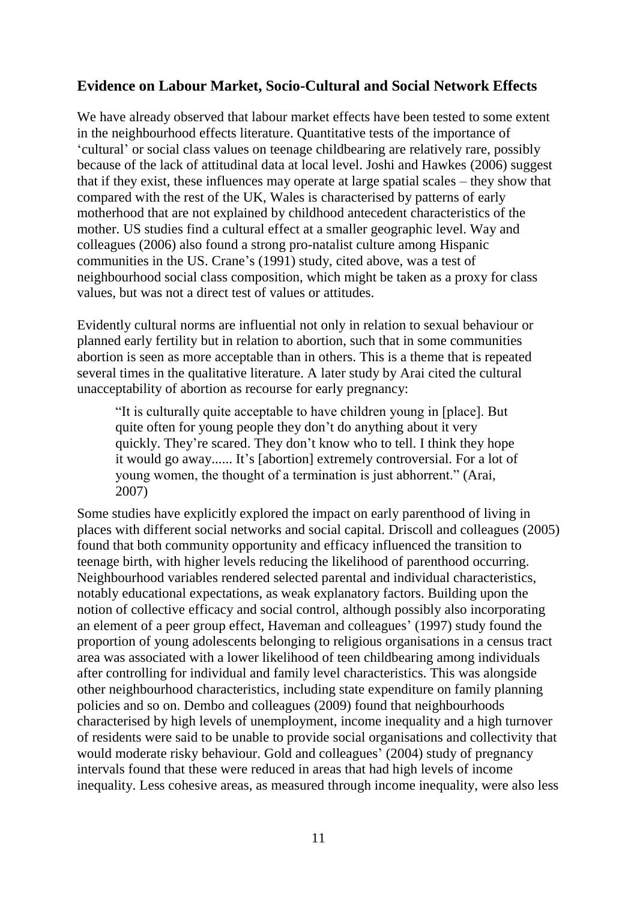# <span id="page-13-0"></span>**Evidence on Labour Market, Socio-Cultural and Social Network Effects**

We have already observed that labour market effects have been tested to some extent in the neighbourhood effects literature. Quantitative tests of the importance of "cultural" or social class values on teenage childbearing are relatively rare, possibly because of the lack of attitudinal data at local level. Joshi and Hawkes (2006) suggest that if they exist, these influences may operate at large spatial scales – they show that compared with the rest of the UK, Wales is characterised by patterns of early motherhood that are not explained by childhood antecedent characteristics of the mother. US studies find a cultural effect at a smaller geographic level. Way and colleagues (2006) also found a strong pro-natalist culture among Hispanic communities in the US. Crane"s (1991) study, cited above, was a test of neighbourhood social class composition, which might be taken as a proxy for class values, but was not a direct test of values or attitudes.

Evidently cultural norms are influential not only in relation to sexual behaviour or planned early fertility but in relation to abortion, such that in some communities abortion is seen as more acceptable than in others. This is a theme that is repeated several times in the qualitative literature. A later study by Arai cited the cultural unacceptability of abortion as recourse for early pregnancy:

"It is culturally quite acceptable to have children young in [place]. But quite often for young people they don"t do anything about it very quickly. They're scared. They don't know who to tell. I think they hope it would go away...... It's [abortion] extremely controversial. For a lot of young women, the thought of a termination is just abhorrent." (Arai, 2007)

Some studies have explicitly explored the impact on early parenthood of living in places with different social networks and social capital. Driscoll and colleagues (2005) found that both community opportunity and efficacy influenced the transition to teenage birth, with higher levels reducing the likelihood of parenthood occurring. Neighbourhood variables rendered selected parental and individual characteristics, notably educational expectations, as weak explanatory factors. Building upon the notion of collective efficacy and social control, although possibly also incorporating an element of a peer group effect, Haveman and colleagues' (1997) study found the proportion of young adolescents belonging to religious organisations in a census tract area was associated with a lower likelihood of teen childbearing among individuals after controlling for individual and family level characteristics. This was alongside other neighbourhood characteristics, including state expenditure on family planning policies and so on. Dembo and colleagues (2009) found that neighbourhoods characterised by high levels of unemployment, income inequality and a high turnover of residents were said to be unable to provide social organisations and collectivity that would moderate risky behaviour. Gold and colleagues' (2004) study of pregnancy intervals found that these were reduced in areas that had high levels of income inequality. Less cohesive areas, as measured through income inequality, were also less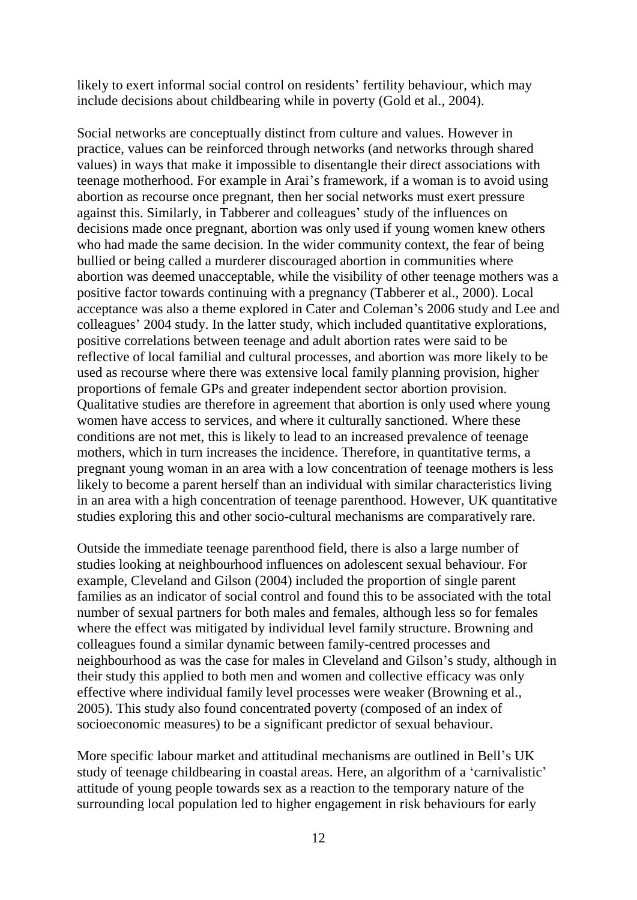likely to exert informal social control on residents' fertility behaviour, which may include decisions about childbearing while in poverty (Gold et al., 2004).

Social networks are conceptually distinct from culture and values. However in practice, values can be reinforced through networks (and networks through shared values) in ways that make it impossible to disentangle their direct associations with teenage motherhood. For example in Arai"s framework, if a woman is to avoid using abortion as recourse once pregnant, then her social networks must exert pressure against this. Similarly, in Tabberer and colleagues" study of the influences on decisions made once pregnant, abortion was only used if young women knew others who had made the same decision. In the wider community context, the fear of being bullied or being called a murderer discouraged abortion in communities where abortion was deemed unacceptable, while the visibility of other teenage mothers was a positive factor towards continuing with a pregnancy (Tabberer et al., 2000). Local acceptance was also a theme explored in Cater and Coleman"s 2006 study and Lee and colleagues" 2004 study. In the latter study, which included quantitative explorations, positive correlations between teenage and adult abortion rates were said to be reflective of local familial and cultural processes, and abortion was more likely to be used as recourse where there was extensive local family planning provision, higher proportions of female GPs and greater independent sector abortion provision. Qualitative studies are therefore in agreement that abortion is only used where young women have access to services, and where it culturally sanctioned. Where these conditions are not met, this is likely to lead to an increased prevalence of teenage mothers, which in turn increases the incidence. Therefore, in quantitative terms, a pregnant young woman in an area with a low concentration of teenage mothers is less likely to become a parent herself than an individual with similar characteristics living in an area with a high concentration of teenage parenthood. However, UK quantitative studies exploring this and other socio-cultural mechanisms are comparatively rare.

Outside the immediate teenage parenthood field, there is also a large number of studies looking at neighbourhood influences on adolescent sexual behaviour. For example, Cleveland and Gilson (2004) included the proportion of single parent families as an indicator of social control and found this to be associated with the total number of sexual partners for both males and females, although less so for females where the effect was mitigated by individual level family structure. Browning and colleagues found a similar dynamic between family-centred processes and neighbourhood as was the case for males in Cleveland and Gilson"s study, although in their study this applied to both men and women and collective efficacy was only effective where individual family level processes were weaker (Browning et al., 2005). This study also found concentrated poverty (composed of an index of socioeconomic measures) to be a significant predictor of sexual behaviour.

More specific labour market and attitudinal mechanisms are outlined in Bell"s UK study of teenage childbearing in coastal areas. Here, an algorithm of a "carnivalistic" attitude of young people towards sex as a reaction to the temporary nature of the surrounding local population led to higher engagement in risk behaviours for early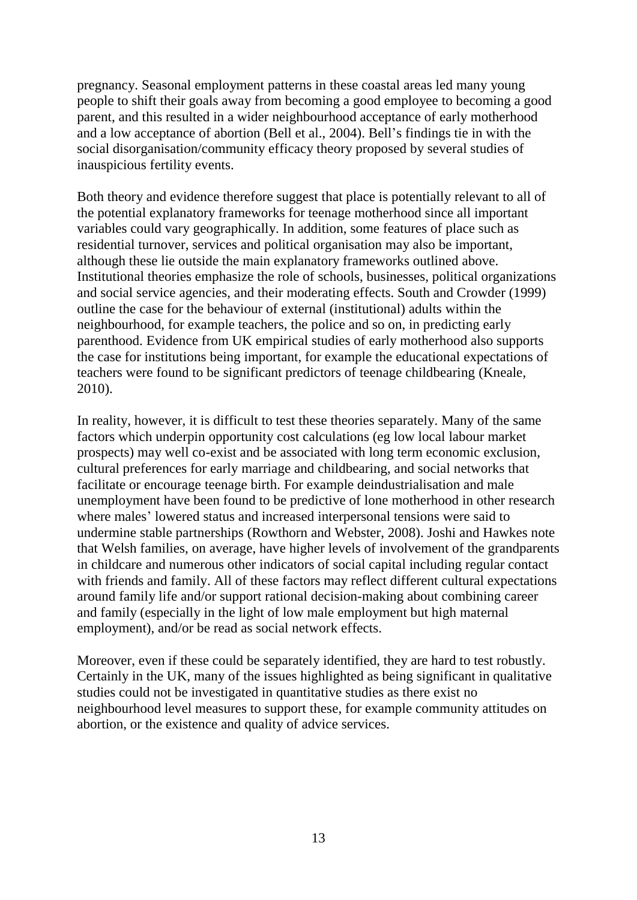pregnancy. Seasonal employment patterns in these coastal areas led many young people to shift their goals away from becoming a good employee to becoming a good parent, and this resulted in a wider neighbourhood acceptance of early motherhood and a low acceptance of abortion (Bell et al., 2004). Bell"s findings tie in with the social disorganisation/community efficacy theory proposed by several studies of inauspicious fertility events.

Both theory and evidence therefore suggest that place is potentially relevant to all of the potential explanatory frameworks for teenage motherhood since all important variables could vary geographically. In addition, some features of place such as residential turnover, services and political organisation may also be important, although these lie outside the main explanatory frameworks outlined above. Institutional theories emphasize the role of schools, businesses, political organizations and social service agencies, and their moderating effects. South and Crowder (1999) outline the case for the behaviour of external (institutional) adults within the neighbourhood, for example teachers, the police and so on, in predicting early parenthood. Evidence from UK empirical studies of early motherhood also supports the case for institutions being important, for example the educational expectations of teachers were found to be significant predictors of teenage childbearing (Kneale, 2010).

In reality, however, it is difficult to test these theories separately. Many of the same factors which underpin opportunity cost calculations (eg low local labour market prospects) may well co-exist and be associated with long term economic exclusion, cultural preferences for early marriage and childbearing, and social networks that facilitate or encourage teenage birth. For example deindustrialisation and male unemployment have been found to be predictive of lone motherhood in other research where males' lowered status and increased interpersonal tensions were said to undermine stable partnerships (Rowthorn and Webster, 2008). Joshi and Hawkes note that Welsh families, on average, have higher levels of involvement of the grandparents in childcare and numerous other indicators of social capital including regular contact with friends and family. All of these factors may reflect different cultural expectations around family life and/or support rational decision-making about combining career and family (especially in the light of low male employment but high maternal employment), and/or be read as social network effects.

Moreover, even if these could be separately identified, they are hard to test robustly. Certainly in the UK, many of the issues highlighted as being significant in qualitative studies could not be investigated in quantitative studies as there exist no neighbourhood level measures to support these, for example community attitudes on abortion, or the existence and quality of advice services.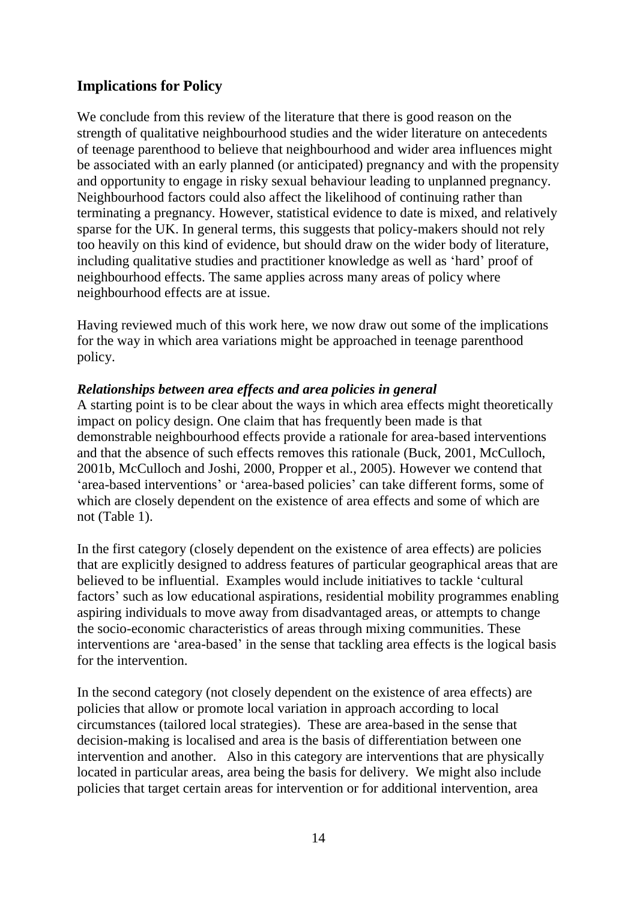# <span id="page-16-0"></span>**Implications for Policy**

We conclude from this review of the literature that there is good reason on the strength of qualitative neighbourhood studies and the wider literature on antecedents of teenage parenthood to believe that neighbourhood and wider area influences might be associated with an early planned (or anticipated) pregnancy and with the propensity and opportunity to engage in risky sexual behaviour leading to unplanned pregnancy. Neighbourhood factors could also affect the likelihood of continuing rather than terminating a pregnancy. However, statistical evidence to date is mixed, and relatively sparse for the UK. In general terms, this suggests that policy-makers should not rely too heavily on this kind of evidence, but should draw on the wider body of literature, including qualitative studies and practitioner knowledge as well as "hard" proof of neighbourhood effects. The same applies across many areas of policy where neighbourhood effects are at issue.

Having reviewed much of this work here, we now draw out some of the implications for the way in which area variations might be approached in teenage parenthood policy.

#### <span id="page-16-1"></span>*Relationships between area effects and area policies in general*

A starting point is to be clear about the ways in which area effects might theoretically impact on policy design. One claim that has frequently been made is that demonstrable neighbourhood effects provide a rationale for area-based interventions and that the absence of such effects removes this rationale (Buck, 2001, McCulloch, 2001b, McCulloch and Joshi, 2000, Propper et al., 2005). However we contend that 'area-based interventions' or 'area-based policies' can take different forms, some of which are closely dependent on the existence of area effects and some of which are not (Table 1).

In the first category (closely dependent on the existence of area effects) are policies that are explicitly designed to address features of particular geographical areas that are believed to be influential. Examples would include initiatives to tackle "cultural factors' such as low educational aspirations, residential mobility programmes enabling aspiring individuals to move away from disadvantaged areas, or attempts to change the socio-economic characteristics of areas through mixing communities. These interventions are "area-based" in the sense that tackling area effects is the logical basis for the intervention.

In the second category (not closely dependent on the existence of area effects) are policies that allow or promote local variation in approach according to local circumstances (tailored local strategies). These are area-based in the sense that decision-making is localised and area is the basis of differentiation between one intervention and another. Also in this category are interventions that are physically located in particular areas, area being the basis for delivery. We might also include policies that target certain areas for intervention or for additional intervention, area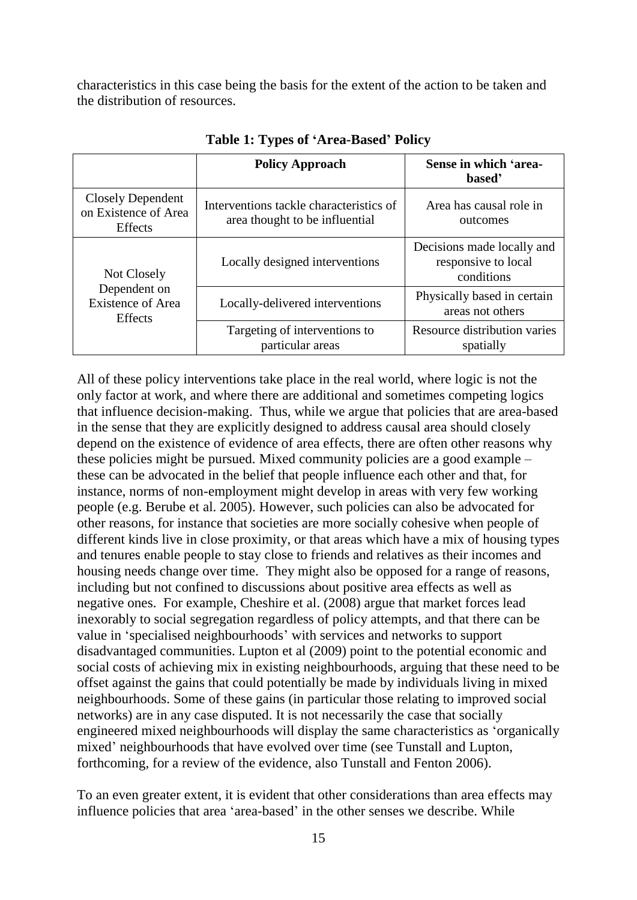characteristics in this case being the basis for the extent of the action to be taken and the distribution of resources.

|                                                                           | <b>Policy Approach</b>                                                    | Sense in which 'area-<br>based'                                 |
|---------------------------------------------------------------------------|---------------------------------------------------------------------------|-----------------------------------------------------------------|
| <b>Closely Dependent</b><br>on Existence of Area<br><b>Effects</b>        | Interventions tackle characteristics of<br>area thought to be influential | Area has causal role in<br>outcomes                             |
| Not Closely<br>Dependent on<br><b>Existence of Area</b><br><b>Effects</b> | Locally designed interventions                                            | Decisions made locally and<br>responsive to local<br>conditions |
|                                                                           | Locally-delivered interventions                                           | Physically based in certain<br>areas not others                 |
|                                                                           | Targeting of interventions to<br>particular areas                         | Resource distribution varies<br>spatially                       |

**Table 1: Types of 'Area-Based' Policy**

All of these policy interventions take place in the real world, where logic is not the only factor at work, and where there are additional and sometimes competing logics that influence decision-making. Thus, while we argue that policies that are area-based in the sense that they are explicitly designed to address causal area should closely depend on the existence of evidence of area effects, there are often other reasons why these policies might be pursued. Mixed community policies are a good example – these can be advocated in the belief that people influence each other and that, for instance, norms of non-employment might develop in areas with very few working people (e.g. Berube et al. 2005). However, such policies can also be advocated for other reasons, for instance that societies are more socially cohesive when people of different kinds live in close proximity, or that areas which have a mix of housing types and tenures enable people to stay close to friends and relatives as their incomes and housing needs change over time. They might also be opposed for a range of reasons, including but not confined to discussions about positive area effects as well as negative ones. For example, Cheshire et al. (2008) argue that market forces lead inexorably to social segregation regardless of policy attempts, and that there can be value in "specialised neighbourhoods" with services and networks to support disadvantaged communities. Lupton et al (2009) point to the potential economic and social costs of achieving mix in existing neighbourhoods, arguing that these need to be offset against the gains that could potentially be made by individuals living in mixed neighbourhoods. Some of these gains (in particular those relating to improved social networks) are in any case disputed. It is not necessarily the case that socially engineered mixed neighbourhoods will display the same characteristics as "organically mixed" neighbourhoods that have evolved over time (see Tunstall and Lupton, forthcoming, for a review of the evidence, also Tunstall and Fenton 2006).

To an even greater extent, it is evident that other considerations than area effects may influence policies that area "area-based" in the other senses we describe. While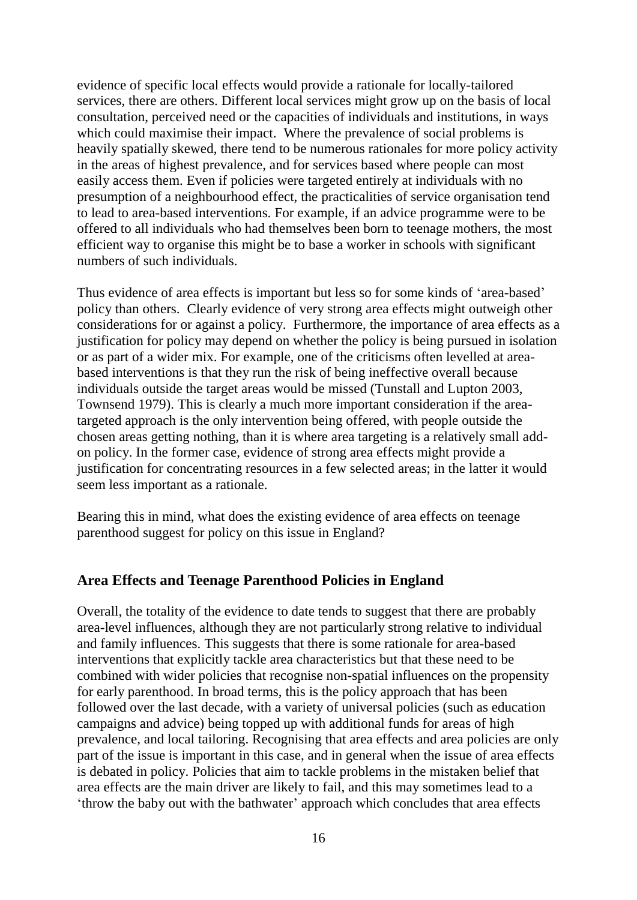evidence of specific local effects would provide a rationale for locally-tailored services, there are others. Different local services might grow up on the basis of local consultation, perceived need or the capacities of individuals and institutions, in ways which could maximise their impact. Where the prevalence of social problems is heavily spatially skewed, there tend to be numerous rationales for more policy activity in the areas of highest prevalence, and for services based where people can most easily access them. Even if policies were targeted entirely at individuals with no presumption of a neighbourhood effect, the practicalities of service organisation tend to lead to area-based interventions. For example, if an advice programme were to be offered to all individuals who had themselves been born to teenage mothers, the most efficient way to organise this might be to base a worker in schools with significant numbers of such individuals.

Thus evidence of area effects is important but less so for some kinds of "area-based" policy than others. Clearly evidence of very strong area effects might outweigh other considerations for or against a policy. Furthermore, the importance of area effects as a justification for policy may depend on whether the policy is being pursued in isolation or as part of a wider mix. For example, one of the criticisms often levelled at areabased interventions is that they run the risk of being ineffective overall because individuals outside the target areas would be missed (Tunstall and Lupton 2003, Townsend 1979). This is clearly a much more important consideration if the areatargeted approach is the only intervention being offered, with people outside the chosen areas getting nothing, than it is where area targeting is a relatively small addon policy. In the former case, evidence of strong area effects might provide a justification for concentrating resources in a few selected areas; in the latter it would seem less important as a rationale.

Bearing this in mind, what does the existing evidence of area effects on teenage parenthood suggest for policy on this issue in England?

#### <span id="page-18-0"></span>**Area Effects and Teenage Parenthood Policies in England**

Overall, the totality of the evidence to date tends to suggest that there are probably area-level influences, although they are not particularly strong relative to individual and family influences. This suggests that there is some rationale for area-based interventions that explicitly tackle area characteristics but that these need to be combined with wider policies that recognise non-spatial influences on the propensity for early parenthood. In broad terms, this is the policy approach that has been followed over the last decade, with a variety of universal policies (such as education campaigns and advice) being topped up with additional funds for areas of high prevalence, and local tailoring. Recognising that area effects and area policies are only part of the issue is important in this case, and in general when the issue of area effects is debated in policy. Policies that aim to tackle problems in the mistaken belief that area effects are the main driver are likely to fail, and this may sometimes lead to a "throw the baby out with the bathwater" approach which concludes that area effects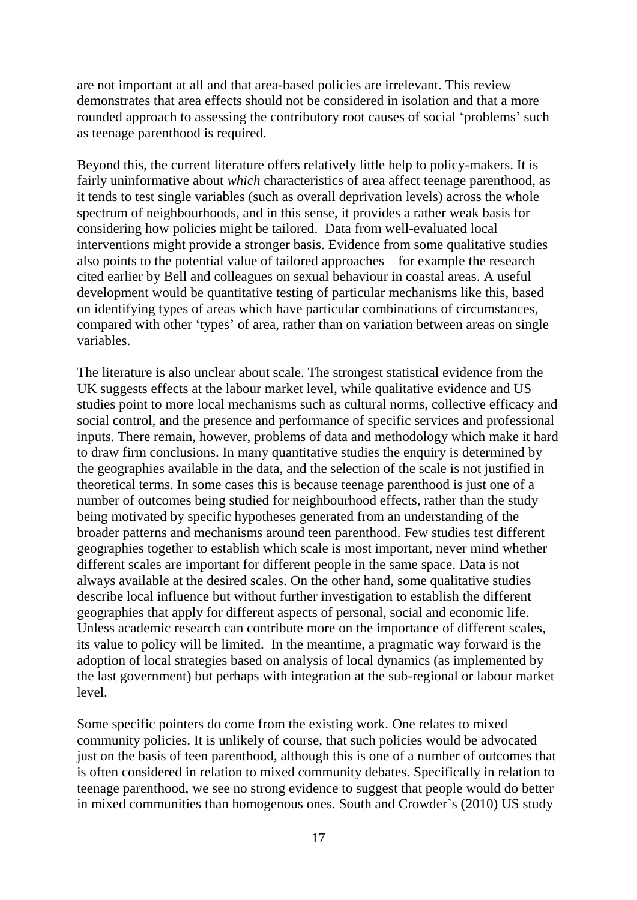are not important at all and that area-based policies are irrelevant. This review demonstrates that area effects should not be considered in isolation and that a more rounded approach to assessing the contributory root causes of social "problems" such as teenage parenthood is required.

Beyond this, the current literature offers relatively little help to policy-makers. It is fairly uninformative about *which* characteristics of area affect teenage parenthood, as it tends to test single variables (such as overall deprivation levels) across the whole spectrum of neighbourhoods, and in this sense, it provides a rather weak basis for considering how policies might be tailored. Data from well-evaluated local interventions might provide a stronger basis. Evidence from some qualitative studies also points to the potential value of tailored approaches – for example the research cited earlier by Bell and colleagues on sexual behaviour in coastal areas. A useful development would be quantitative testing of particular mechanisms like this, based on identifying types of areas which have particular combinations of circumstances, compared with other "types" of area, rather than on variation between areas on single variables.

The literature is also unclear about scale. The strongest statistical evidence from the UK suggests effects at the labour market level, while qualitative evidence and US studies point to more local mechanisms such as cultural norms, collective efficacy and social control, and the presence and performance of specific services and professional inputs. There remain, however, problems of data and methodology which make it hard to draw firm conclusions. In many quantitative studies the enquiry is determined by the geographies available in the data, and the selection of the scale is not justified in theoretical terms. In some cases this is because teenage parenthood is just one of a number of outcomes being studied for neighbourhood effects, rather than the study being motivated by specific hypotheses generated from an understanding of the broader patterns and mechanisms around teen parenthood. Few studies test different geographies together to establish which scale is most important, never mind whether different scales are important for different people in the same space. Data is not always available at the desired scales. On the other hand, some qualitative studies describe local influence but without further investigation to establish the different geographies that apply for different aspects of personal, social and economic life. Unless academic research can contribute more on the importance of different scales, its value to policy will be limited. In the meantime, a pragmatic way forward is the adoption of local strategies based on analysis of local dynamics (as implemented by the last government) but perhaps with integration at the sub-regional or labour market level.

Some specific pointers do come from the existing work. One relates to mixed community policies. It is unlikely of course, that such policies would be advocated just on the basis of teen parenthood, although this is one of a number of outcomes that is often considered in relation to mixed community debates. Specifically in relation to teenage parenthood, we see no strong evidence to suggest that people would do better in mixed communities than homogenous ones. South and Crowder"s (2010) US study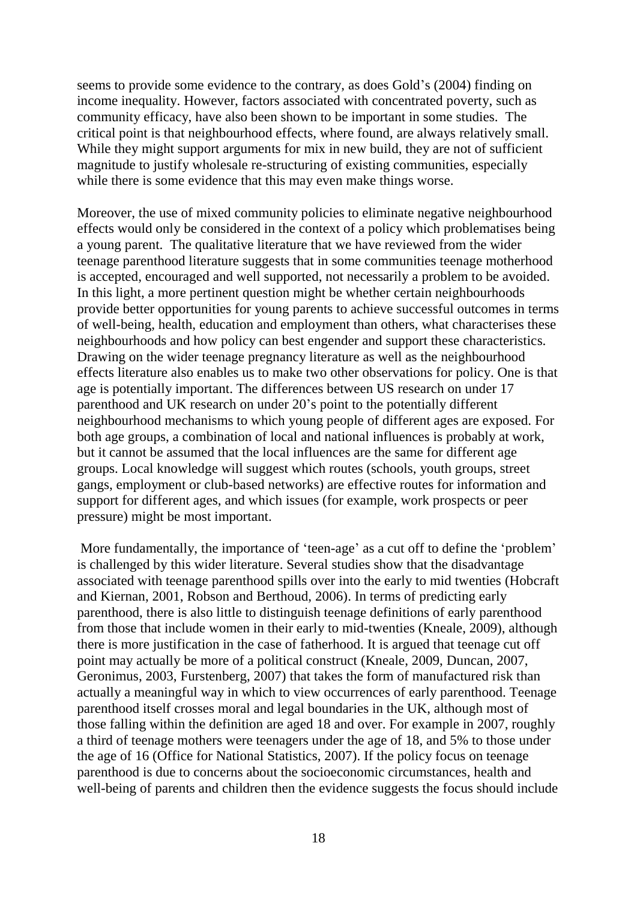seems to provide some evidence to the contrary, as does Gold's (2004) finding on income inequality. However, factors associated with concentrated poverty, such as community efficacy, have also been shown to be important in some studies. The critical point is that neighbourhood effects, where found, are always relatively small. While they might support arguments for mix in new build, they are not of sufficient magnitude to justify wholesale re-structuring of existing communities, especially while there is some evidence that this may even make things worse.

Moreover, the use of mixed community policies to eliminate negative neighbourhood effects would only be considered in the context of a policy which problematises being a young parent. The qualitative literature that we have reviewed from the wider teenage parenthood literature suggests that in some communities teenage motherhood is accepted, encouraged and well supported, not necessarily a problem to be avoided. In this light, a more pertinent question might be whether certain neighbourhoods provide better opportunities for young parents to achieve successful outcomes in terms of well-being, health, education and employment than others, what characterises these neighbourhoods and how policy can best engender and support these characteristics. Drawing on the wider teenage pregnancy literature as well as the neighbourhood effects literature also enables us to make two other observations for policy. One is that age is potentially important. The differences between US research on under 17 parenthood and UK research on under 20"s point to the potentially different neighbourhood mechanisms to which young people of different ages are exposed. For both age groups, a combination of local and national influences is probably at work, but it cannot be assumed that the local influences are the same for different age groups. Local knowledge will suggest which routes (schools, youth groups, street gangs, employment or club-based networks) are effective routes for information and support for different ages, and which issues (for example, work prospects or peer pressure) might be most important.

More fundamentally, the importance of 'teen-age' as a cut off to define the 'problem' is challenged by this wider literature. Several studies show that the disadvantage associated with teenage parenthood spills over into the early to mid twenties (Hobcraft and Kiernan, 2001, Robson and Berthoud, 2006). In terms of predicting early parenthood, there is also little to distinguish teenage definitions of early parenthood from those that include women in their early to mid-twenties (Kneale, 2009), although there is more justification in the case of fatherhood. It is argued that teenage cut off point may actually be more of a political construct (Kneale, 2009, Duncan, 2007, Geronimus, 2003, Furstenberg, 2007) that takes the form of manufactured risk than actually a meaningful way in which to view occurrences of early parenthood. Teenage parenthood itself crosses moral and legal boundaries in the UK, although most of those falling within the definition are aged 18 and over. For example in 2007, roughly a third of teenage mothers were teenagers under the age of 18, and 5% to those under the age of 16 (Office for National Statistics, 2007). If the policy focus on teenage parenthood is due to concerns about the socioeconomic circumstances, health and well-being of parents and children then the evidence suggests the focus should include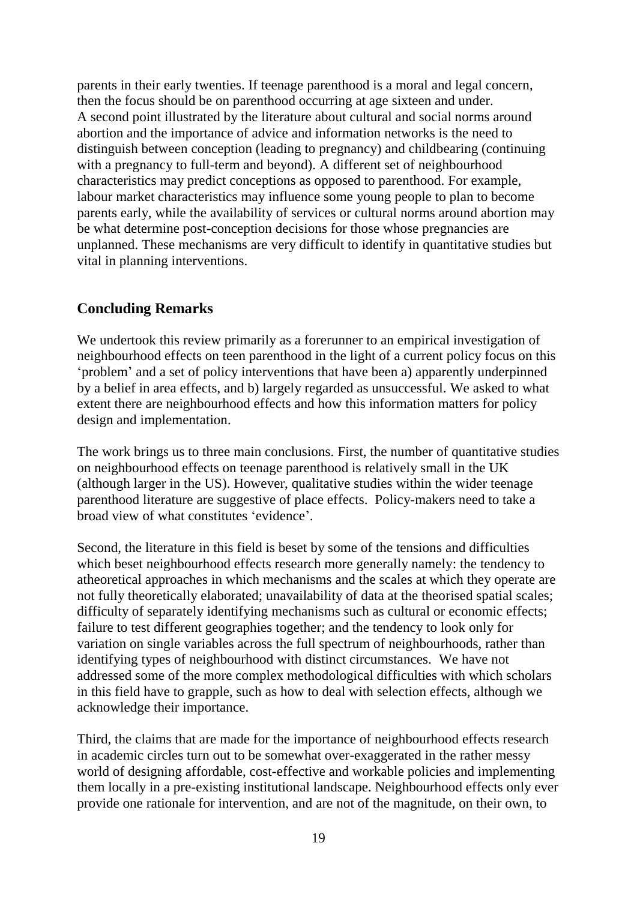parents in their early twenties. If teenage parenthood is a moral and legal concern, then the focus should be on parenthood occurring at age sixteen and under. A second point illustrated by the literature about cultural and social norms around abortion and the importance of advice and information networks is the need to distinguish between conception (leading to pregnancy) and childbearing (continuing with a pregnancy to full-term and beyond). A different set of neighbourhood characteristics may predict conceptions as opposed to parenthood. For example, labour market characteristics may influence some young people to plan to become parents early, while the availability of services or cultural norms around abortion may be what determine post-conception decisions for those whose pregnancies are unplanned. These mechanisms are very difficult to identify in quantitative studies but vital in planning interventions.

# <span id="page-21-0"></span>**Concluding Remarks**

We undertook this review primarily as a forerunner to an empirical investigation of neighbourhood effects on teen parenthood in the light of a current policy focus on this "problem" and a set of policy interventions that have been a) apparently underpinned by a belief in area effects, and b) largely regarded as unsuccessful. We asked to what extent there are neighbourhood effects and how this information matters for policy design and implementation.

The work brings us to three main conclusions. First, the number of quantitative studies on neighbourhood effects on teenage parenthood is relatively small in the UK (although larger in the US). However, qualitative studies within the wider teenage parenthood literature are suggestive of place effects. Policy-makers need to take a broad view of what constitutes 'evidence'.

Second, the literature in this field is beset by some of the tensions and difficulties which beset neighbourhood effects research more generally namely: the tendency to atheoretical approaches in which mechanisms and the scales at which they operate are not fully theoretically elaborated; unavailability of data at the theorised spatial scales; difficulty of separately identifying mechanisms such as cultural or economic effects; failure to test different geographies together; and the tendency to look only for variation on single variables across the full spectrum of neighbourhoods, rather than identifying types of neighbourhood with distinct circumstances. We have not addressed some of the more complex methodological difficulties with which scholars in this field have to grapple, such as how to deal with selection effects, although we acknowledge their importance.

Third, the claims that are made for the importance of neighbourhood effects research in academic circles turn out to be somewhat over-exaggerated in the rather messy world of designing affordable, cost-effective and workable policies and implementing them locally in a pre-existing institutional landscape. Neighbourhood effects only ever provide one rationale for intervention, and are not of the magnitude, on their own, to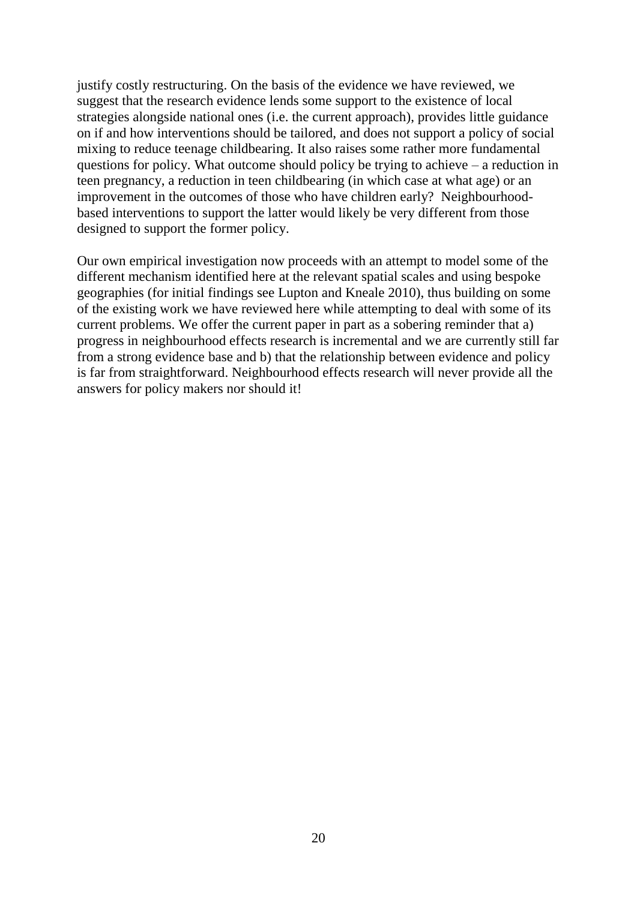justify costly restructuring. On the basis of the evidence we have reviewed, we suggest that the research evidence lends some support to the existence of local strategies alongside national ones (i.e. the current approach), provides little guidance on if and how interventions should be tailored, and does not support a policy of social mixing to reduce teenage childbearing. It also raises some rather more fundamental questions for policy. What outcome should policy be trying to achieve – a reduction in teen pregnancy, a reduction in teen childbearing (in which case at what age) or an improvement in the outcomes of those who have children early? Neighbourhoodbased interventions to support the latter would likely be very different from those designed to support the former policy.

Our own empirical investigation now proceeds with an attempt to model some of the different mechanism identified here at the relevant spatial scales and using bespoke geographies (for initial findings see Lupton and Kneale 2010), thus building on some of the existing work we have reviewed here while attempting to deal with some of its current problems. We offer the current paper in part as a sobering reminder that a) progress in neighbourhood effects research is incremental and we are currently still far from a strong evidence base and b) that the relationship between evidence and policy is far from straightforward. Neighbourhood effects research will never provide all the answers for policy makers nor should it!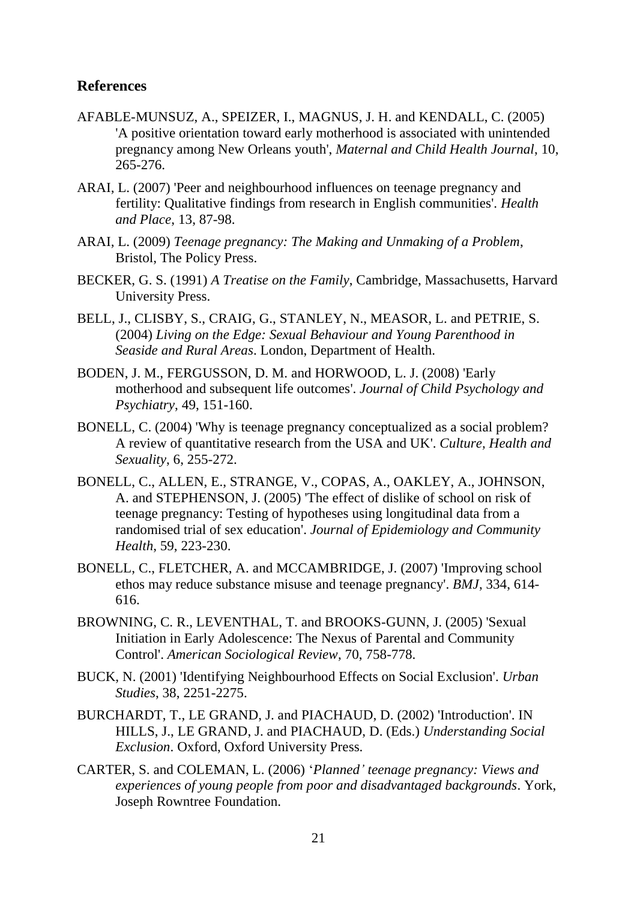#### <span id="page-23-0"></span>**References**

- AFABLE-MUNSUZ, A., SPEIZER, I., MAGNUS, J. H. and KENDALL, C. (2005) 'A positive orientation toward early motherhood is associated with unintended pregnancy among New Orleans youth', *Maternal and Child Health Journal*, 10, 265-276.
- ARAI, L. (2007) 'Peer and neighbourhood influences on teenage pregnancy and fertility: Qualitative findings from research in English communities'. *Health and Place*, 13, 87-98.
- ARAI, L. (2009) *Teenage pregnancy: The Making and Unmaking of a Problem*, Bristol, The Policy Press.
- BECKER, G. S. (1991) *A Treatise on the Family*, Cambridge, Massachusetts, Harvard University Press.
- BELL, J., CLISBY, S., CRAIG, G., STANLEY, N., MEASOR, L. and PETRIE, S. (2004) *Living on the Edge: Sexual Behaviour and Young Parenthood in Seaside and Rural Areas*. London, Department of Health.
- BODEN, J. M., FERGUSSON, D. M. and HORWOOD, L. J. (2008) 'Early motherhood and subsequent life outcomes'. *Journal of Child Psychology and Psychiatry*, 49, 151-160.
- BONELL, C. (2004) 'Why is teenage pregnancy conceptualized as a social problem? A review of quantitative research from the USA and UK'. *Culture, Health and Sexuality*, 6, 255-272.
- BONELL, C., ALLEN, E., STRANGE, V., COPAS, A., OAKLEY, A., JOHNSON, A. and STEPHENSON, J. (2005) 'The effect of dislike of school on risk of teenage pregnancy: Testing of hypotheses using longitudinal data from a randomised trial of sex education'. *Journal of Epidemiology and Community Health*, 59, 223-230.
- BONELL, C., FLETCHER, A. and MCCAMBRIDGE, J. (2007) 'Improving school ethos may reduce substance misuse and teenage pregnancy'. *BMJ*, 334, 614- 616.
- BROWNING, C. R., LEVENTHAL, T. and BROOKS-GUNN, J. (2005) 'Sexual Initiation in Early Adolescence: The Nexus of Parental and Community Control'. *American Sociological Review*, 70, 758-778.
- BUCK, N. (2001) 'Identifying Neighbourhood Effects on Social Exclusion'. *Urban Studies*, 38, 2251-2275.
- BURCHARDT, T., LE GRAND, J. and PIACHAUD, D. (2002) 'Introduction'. IN HILLS, J., LE GRAND, J. and PIACHAUD, D. (Eds.) *Understanding Social Exclusion*. Oxford, Oxford University Press.
- CARTER, S. and COLEMAN, L. (2006) "*Planned' teenage pregnancy: Views and experiences of young people from poor and disadvantaged backgrounds*. York, Joseph Rowntree Foundation.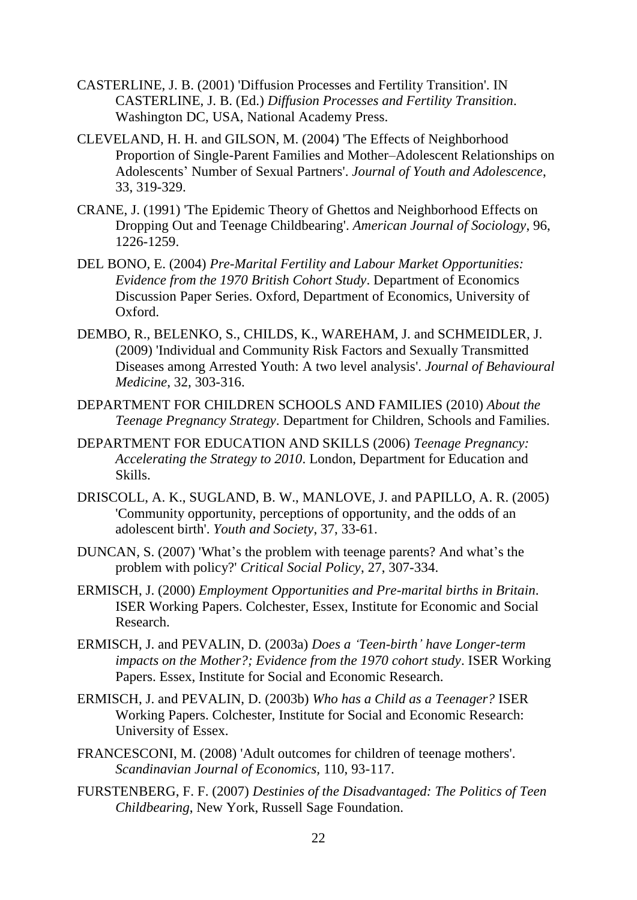- CASTERLINE, J. B. (2001) 'Diffusion Processes and Fertility Transition'. IN CASTERLINE, J. B. (Ed.) *Diffusion Processes and Fertility Transition*. Washington DC, USA, National Academy Press.
- CLEVELAND, H. H. and GILSON, M. (2004) 'The Effects of Neighborhood Proportion of Single-Parent Families and Mother–Adolescent Relationships on Adolescents" Number of Sexual Partners'. *Journal of Youth and Adolescence*, 33, 319-329.
- CRANE, J. (1991) 'The Epidemic Theory of Ghettos and Neighborhood Effects on Dropping Out and Teenage Childbearing'. *American Journal of Sociology*, 96, 1226-1259.
- DEL BONO, E. (2004) *Pre-Marital Fertility and Labour Market Opportunities: Evidence from the 1970 British Cohort Study*. Department of Economics Discussion Paper Series. Oxford, Department of Economics, University of Oxford.
- DEMBO, R., BELENKO, S., CHILDS, K., WAREHAM, J. and SCHMEIDLER, J. (2009) 'Individual and Community Risk Factors and Sexually Transmitted Diseases among Arrested Youth: A two level analysis'. *Journal of Behavioural Medicine*, 32, 303-316.
- DEPARTMENT FOR CHILDREN SCHOOLS AND FAMILIES (2010) *About the Teenage Pregnancy Strategy*. Department for Children, Schools and Families.
- DEPARTMENT FOR EDUCATION AND SKILLS (2006) *Teenage Pregnancy: Accelerating the Strategy to 2010*. London, Department for Education and Skills.
- DRISCOLL, A. K., SUGLAND, B. W., MANLOVE, J. and PAPILLO, A. R. (2005) 'Community opportunity, perceptions of opportunity, and the odds of an adolescent birth'. *Youth and Society*, 37, 33-61.
- DUNCAN, S. (2007) 'What's the problem with teenage parents? And what's the problem with policy?' *Critical Social Policy*, 27, 307-334.
- ERMISCH, J. (2000) *Employment Opportunities and Pre-marital births in Britain*. ISER Working Papers. Colchester, Essex, Institute for Economic and Social Research.
- ERMISCH, J. and PEVALIN, D. (2003a) *Does a 'Teen-birth' have Longer-term impacts on the Mother?; Evidence from the 1970 cohort study*. ISER Working Papers. Essex, Institute for Social and Economic Research.
- ERMISCH, J. and PEVALIN, D. (2003b) *Who has a Child as a Teenager?* ISER Working Papers. Colchester, Institute for Social and Economic Research: University of Essex.
- FRANCESCONI, M. (2008) 'Adult outcomes for children of teenage mothers'. *Scandinavian Journal of Economics,* 110, 93-117.
- FURSTENBERG, F. F. (2007) *Destinies of the Disadvantaged: The Politics of Teen Childbearing*, New York, Russell Sage Foundation.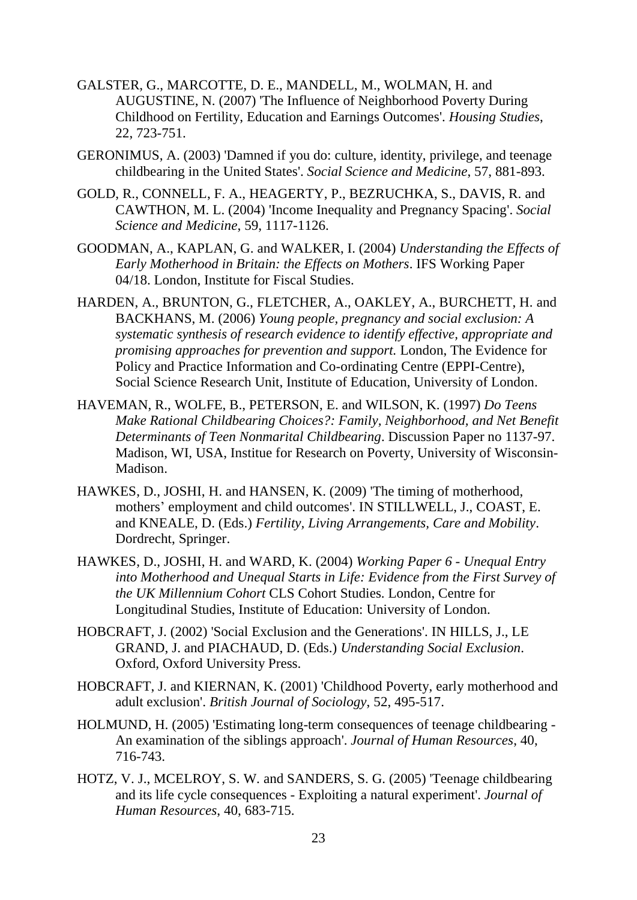- GALSTER, G., MARCOTTE, D. E., MANDELL, M., WOLMAN, H. and AUGUSTINE, N. (2007) 'The Influence of Neighborhood Poverty During Childhood on Fertility, Education and Earnings Outcomes'. *Housing Studies*, 22, 723-751.
- GERONIMUS, A. (2003) 'Damned if you do: culture, identity, privilege, and teenage childbearing in the United States'. *Social Science and Medicine*, 57, 881-893.
- GOLD, R., CONNELL, F. A., HEAGERTY, P., BEZRUCHKA, S., DAVIS, R. and CAWTHON, M. L. (2004) 'Income Inequality and Pregnancy Spacing'. *Social Science and Medicine*, 59, 1117-1126.
- GOODMAN, A., KAPLAN, G. and WALKER, I. (2004) *Understanding the Effects of Early Motherhood in Britain: the Effects on Mothers*. IFS Working Paper 04/18. London, Institute for Fiscal Studies.
- HARDEN, A., BRUNTON, G., FLETCHER, A., OAKLEY, A., BURCHETT, H. and BACKHANS, M. (2006) *Young people, pregnancy and social exclusion: A systematic synthesis of research evidence to identify effective, appropriate and promising approaches for prevention and support.* London, The Evidence for Policy and Practice Information and Co-ordinating Centre (EPPI-Centre), Social Science Research Unit, Institute of Education, University of London.
- HAVEMAN, R., WOLFE, B., PETERSON, E. and WILSON, K. (1997) *Do Teens Make Rational Childbearing Choices?: Family, Neighborhood, and Net Benefit Determinants of Teen Nonmarital Childbearing*. Discussion Paper no 1137-97. Madison, WI, USA, Institue for Research on Poverty, University of Wisconsin-Madison.
- HAWKES, D., JOSHI, H. and HANSEN, K. (2009) 'The timing of motherhood, mothers" employment and child outcomes'. IN STILLWELL, J., COAST, E. and KNEALE, D. (Eds.) *Fertility, Living Arrangements, Care and Mobility*. Dordrecht, Springer.
- HAWKES, D., JOSHI, H. and WARD, K. (2004) *Working Paper 6 - Unequal Entry into Motherhood and Unequal Starts in Life: Evidence from the First Survey of the UK Millennium Cohort* CLS Cohort Studies. London, Centre for Longitudinal Studies, Institute of Education: University of London.
- HOBCRAFT, J. (2002) 'Social Exclusion and the Generations'. IN HILLS, J., LE GRAND, J. and PIACHAUD, D. (Eds.) *Understanding Social Exclusion*. Oxford, Oxford University Press.
- HOBCRAFT, J. and KIERNAN, K. (2001) 'Childhood Poverty, early motherhood and adult exclusion'. *British Journal of Sociology*, 52, 495-517.
- HOLMUND, H. (2005) 'Estimating long-term consequences of teenage childbearing An examination of the siblings approach'. *Journal of Human Resources*, 40, 716-743.
- HOTZ, V. J., MCELROY, S. W. and SANDERS, S. G. (2005) 'Teenage childbearing and its life cycle consequences - Exploiting a natural experiment'. *Journal of Human Resources*, 40, 683-715.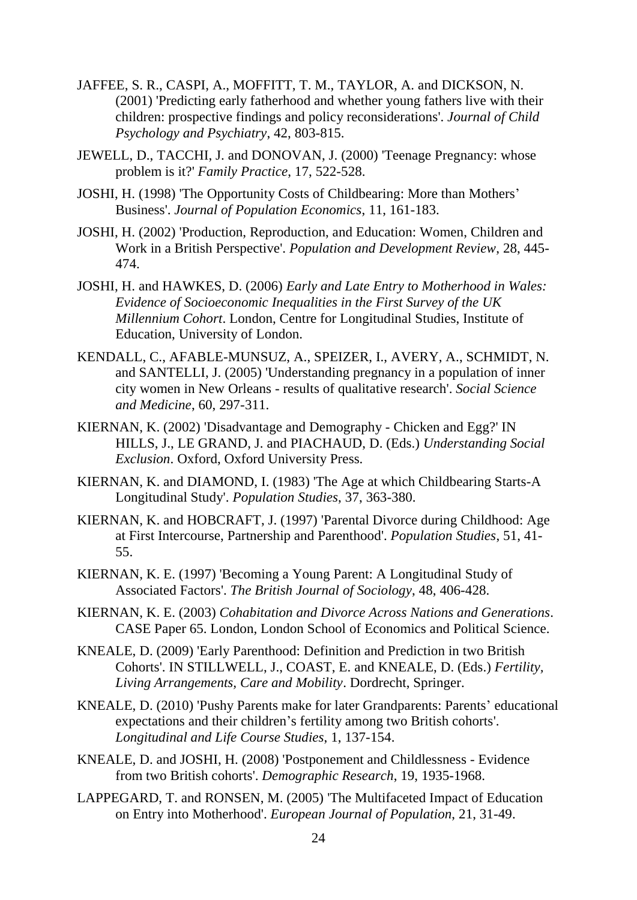- JAFFEE, S. R., CASPI, A., MOFFITT, T. M., TAYLOR, A. and DICKSON, N. (2001) 'Predicting early fatherhood and whether young fathers live with their children: prospective findings and policy reconsiderations'. *Journal of Child Psychology and Psychiatry*, 42, 803-815.
- JEWELL, D., TACCHI, J. and DONOVAN, J. (2000) 'Teenage Pregnancy: whose problem is it?' *Family Practice*, 17, 522-528.
- JOSHI, H. (1998) 'The Opportunity Costs of Childbearing: More than Mothers" Business'. *Journal of Population Economics*, 11, 161-183.
- JOSHI, H. (2002) 'Production, Reproduction, and Education: Women, Children and Work in a British Perspective'. *Population and Development Review*, 28, 445- 474.
- JOSHI, H. and HAWKES, D. (2006) *Early and Late Entry to Motherhood in Wales: Evidence of Socioeconomic Inequalities in the First Survey of the UK Millennium Cohort*. London, Centre for Longitudinal Studies, Institute of Education, University of London.
- KENDALL, C., AFABLE-MUNSUZ, A., SPEIZER, I., AVERY, A., SCHMIDT, N. and SANTELLI, J. (2005) 'Understanding pregnancy in a population of inner city women in New Orleans - results of qualitative research'. *Social Science and Medicine*, 60, 297-311.
- KIERNAN, K. (2002) 'Disadvantage and Demography Chicken and Egg?' IN HILLS, J., LE GRAND, J. and PIACHAUD, D. (Eds.) *Understanding Social Exclusion*. Oxford, Oxford University Press.
- KIERNAN, K. and DIAMOND, I. (1983) 'The Age at which Childbearing Starts-A Longitudinal Study'. *Population Studies*, 37, 363-380.
- KIERNAN, K. and HOBCRAFT, J. (1997) 'Parental Divorce during Childhood: Age at First Intercourse, Partnership and Parenthood'. *Population Studies*, 51, 41- 55.
- KIERNAN, K. E. (1997) 'Becoming a Young Parent: A Longitudinal Study of Associated Factors'. *The British Journal of Sociology*, 48, 406-428.
- KIERNAN, K. E. (2003) *Cohabitation and Divorce Across Nations and Generations*. CASE Paper 65. London, London School of Economics and Political Science.
- KNEALE, D. (2009) 'Early Parenthood: Definition and Prediction in two British Cohorts'. IN STILLWELL, J., COAST, E. and KNEALE, D. (Eds.) *Fertility, Living Arrangements, Care and Mobility*. Dordrecht, Springer.
- KNEALE, D. (2010) 'Pushy Parents make for later Grandparents: Parents' educational expectations and their children"s fertility among two British cohorts'. *Longitudinal and Life Course Studies*, 1, 137-154.
- KNEALE, D. and JOSHI, H. (2008) 'Postponement and Childlessness Evidence from two British cohorts'. *Demographic Research*, 19, 1935-1968.
- LAPPEGARD, T. and RONSEN, M. (2005) 'The Multifaceted Impact of Education on Entry into Motherhood'. *European Journal of Population*, 21, 31-49.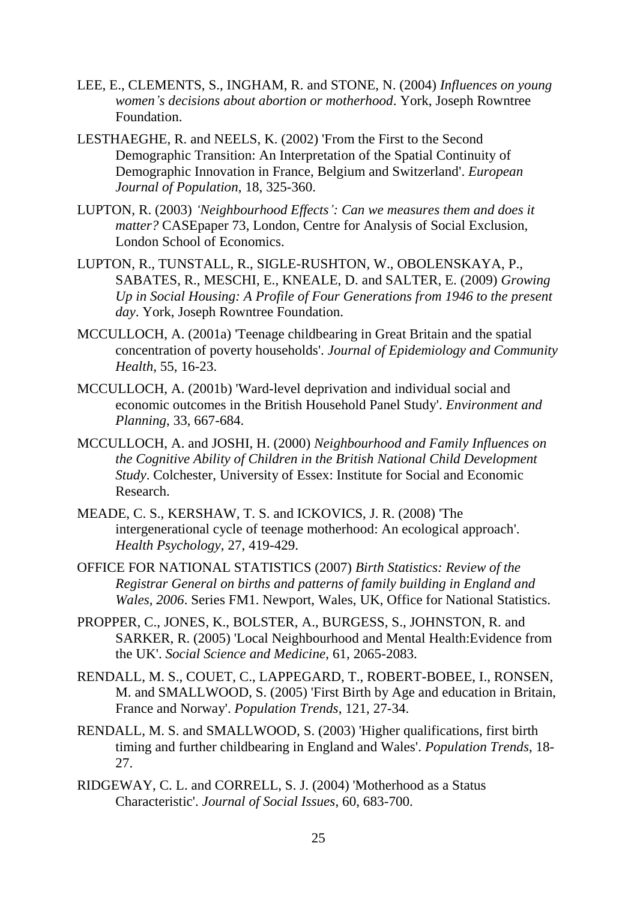- LEE, E., CLEMENTS, S., INGHAM, R. and STONE, N. (2004) *Influences on young women's decisions about abortion or motherhood*. York, Joseph Rowntree Foundation.
- LESTHAEGHE, R. and NEELS, K. (2002) 'From the First to the Second Demographic Transition: An Interpretation of the Spatial Continuity of Demographic Innovation in France, Belgium and Switzerland'. *European Journal of Population*, 18, 325-360.
- LUPTON, R. (2003) *'Neighbourhood Effects': Can we measures them and does it matter?* CASEpaper 73, London, Centre for Analysis of Social Exclusion, London School of Economics.
- LUPTON, R., TUNSTALL, R., SIGLE-RUSHTON, W., OBOLENSKAYA, P., SABATES, R., MESCHI, E., KNEALE, D. and SALTER, E. (2009) *Growing Up in Social Housing: A Profile of Four Generations from 1946 to the present day*. York, Joseph Rowntree Foundation.
- MCCULLOCH, A. (2001a) 'Teenage childbearing in Great Britain and the spatial concentration of poverty households'. *Journal of Epidemiology and Community Health*, 55, 16-23.
- MCCULLOCH, A. (2001b) 'Ward-level deprivation and individual social and economic outcomes in the British Household Panel Study'. *Environment and Planning*, 33, 667-684.
- MCCULLOCH, A. and JOSHI, H. (2000) *Neighbourhood and Family Influences on the Cognitive Ability of Children in the British National Child Development Study*. Colchester, University of Essex: Institute for Social and Economic Research.
- MEADE, C. S., KERSHAW, T. S. and ICKOVICS, J. R. (2008) 'The intergenerational cycle of teenage motherhood: An ecological approach'. *Health Psychology*, 27, 419-429.
- OFFICE FOR NATIONAL STATISTICS (2007) *Birth Statistics: Review of the Registrar General on births and patterns of family building in England and Wales, 2006*. Series FM1. Newport, Wales, UK, Office for National Statistics.
- PROPPER, C., JONES, K., BOLSTER, A., BURGESS, S., JOHNSTON, R. and SARKER, R. (2005) 'Local Neighbourhood and Mental Health:Evidence from the UK'. *Social Science and Medicine*, 61, 2065-2083.
- RENDALL, M. S., COUET, C., LAPPEGARD, T., ROBERT-BOBEE, I., RONSEN, M. and SMALLWOOD, S. (2005) 'First Birth by Age and education in Britain, France and Norway'. *Population Trends*, 121, 27-34.
- RENDALL, M. S. and SMALLWOOD, S. (2003) 'Higher qualifications, first birth timing and further childbearing in England and Wales'. *Population Trends*, 18- 27.
- RIDGEWAY, C. L. and CORRELL, S. J. (2004) 'Motherhood as a Status Characteristic'. *Journal of Social Issues*, 60, 683-700.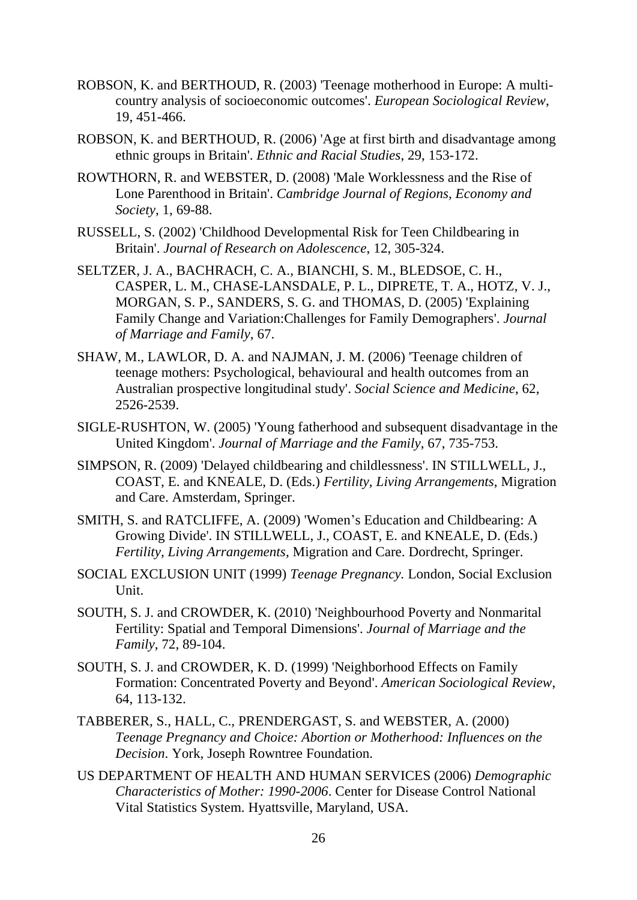- ROBSON, K. and BERTHOUD, R. (2003) 'Teenage motherhood in Europe: A multicountry analysis of socioeconomic outcomes'. *European Sociological Review*, 19, 451-466.
- ROBSON, K. and BERTHOUD, R. (2006) 'Age at first birth and disadvantage among ethnic groups in Britain'. *Ethnic and Racial Studies*, 29, 153-172.
- ROWTHORN, R. and WEBSTER, D. (2008) 'Male Worklessness and the Rise of Lone Parenthood in Britain'. *Cambridge Journal of Regions, Economy and Society*, 1, 69-88.
- RUSSELL, S. (2002) 'Childhood Developmental Risk for Teen Childbearing in Britain'. *Journal of Research on Adolescence*, 12, 305-324.
- SELTZER, J. A., BACHRACH, C. A., BIANCHI, S. M., BLEDSOE, C. H., CASPER, L. M., CHASE-LANSDALE, P. L., DIPRETE, T. A., HOTZ, V. J., MORGAN, S. P., SANDERS, S. G. and THOMAS, D. (2005) 'Explaining Family Change and Variation:Challenges for Family Demographers'. *Journal of Marriage and Family*, 67.
- SHAW, M., LAWLOR, D. A. and NAJMAN, J. M. (2006) 'Teenage children of teenage mothers: Psychological, behavioural and health outcomes from an Australian prospective longitudinal study'. *Social Science and Medicine*, 62, 2526-2539.
- SIGLE-RUSHTON, W. (2005) 'Young fatherhood and subsequent disadvantage in the United Kingdom'. *Journal of Marriage and the Family*, 67, 735-753.
- SIMPSON, R. (2009) 'Delayed childbearing and childlessness'. IN STILLWELL, J., COAST, E. and KNEALE, D. (Eds.) *Fertility, Living Arrangements*, Migration and Care. Amsterdam, Springer.
- SMITH, S. and RATCLIFFE, A. (2009) 'Women"s Education and Childbearing: A Growing Divide'. IN STILLWELL, J., COAST, E. and KNEALE, D. (Eds.) *Fertility, Living Arrangements*, Migration and Care. Dordrecht, Springer.
- SOCIAL EXCLUSION UNIT (1999) *Teenage Pregnancy.* London, Social Exclusion Unit.
- SOUTH, S. J. and CROWDER, K. (2010) 'Neighbourhood Poverty and Nonmarital Fertility: Spatial and Temporal Dimensions'. *Journal of Marriage and the Family*, 72, 89-104.
- SOUTH, S. J. and CROWDER, K. D. (1999) 'Neighborhood Effects on Family Formation: Concentrated Poverty and Beyond'. *American Sociological Review*, 64, 113-132.
- TABBERER, S., HALL, C., PRENDERGAST, S. and WEBSTER, A. (2000) *Teenage Pregnancy and Choice: Abortion or Motherhood: Influences on the Decision*. York, Joseph Rowntree Foundation.
- US DEPARTMENT OF HEALTH AND HUMAN SERVICES (2006) *Demographic Characteristics of Mother: 1990-2006*. Center for Disease Control National Vital Statistics System. Hyattsville, Maryland, USA.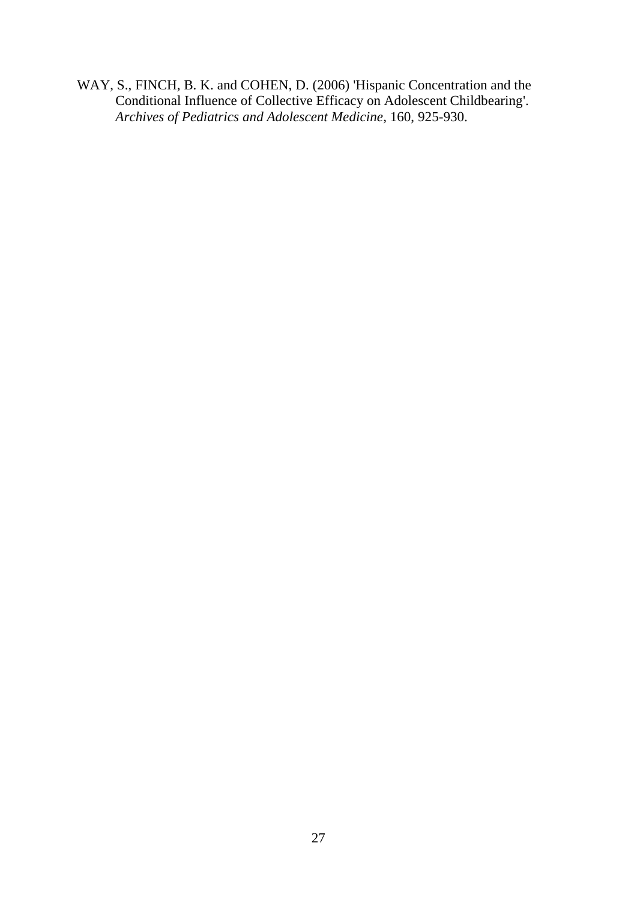WAY, S., FINCH, B. K. and COHEN, D. (2006) 'Hispanic Concentration and the Conditional Influence of Collective Efficacy on Adolescent Childbearing'. *Archives of Pediatrics and Adolescent Medicine*, 160, 925-930.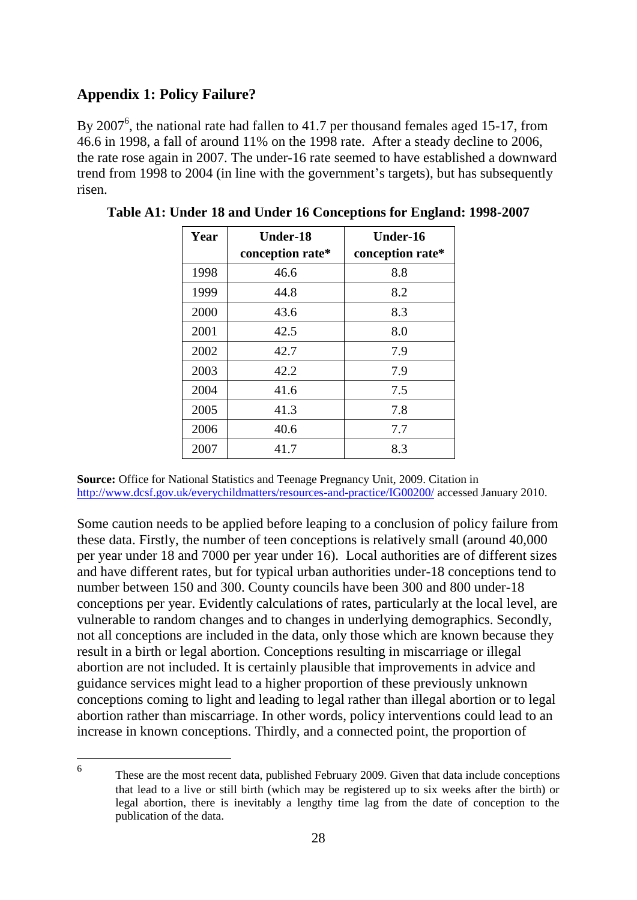# <span id="page-30-0"></span>**Appendix 1: Policy Failure?**

 $\overline{a}$ 

By 2007<sup>6</sup>, the national rate had fallen to 41.7 per thousand females aged 15-17, from 46.6 in 1998, a fall of around 11% on the 1998 rate. After a steady decline to 2006, the rate rose again in 2007. The under-16 rate seemed to have established a downward trend from 1998 to 2004 (in line with the government"s targets), but has subsequently risen.

| Year | <b>Under-18</b>  | <b>Under-16</b>  |
|------|------------------|------------------|
|      | conception rate* | conception rate* |
| 1998 | 46.6             | 8.8              |
| 1999 | 44.8             | 8.2              |
| 2000 | 43.6             | 8.3              |
| 2001 | 42.5             | 8.0              |
| 2002 | 42.7             | 7.9              |
| 2003 | 42.2             | 7.9              |
| 2004 | 41.6             | 7.5              |
| 2005 | 41.3             | 7.8              |
| 2006 | 40.6             | 7.7              |
| 2007 | 41.7             | 8.3              |

| Table A1: Under 18 and Under 16 Conceptions for England: 1998-2007 |
|--------------------------------------------------------------------|
|--------------------------------------------------------------------|

**Source:** Office for National Statistics and Teenage Pregnancy Unit, 2009. Citation in <http://www.dcsf.gov.uk/everychildmatters/resources-and-practice/IG00200/> accessed January 2010.

Some caution needs to be applied before leaping to a conclusion of policy failure from these data. Firstly, the number of teen conceptions is relatively small (around 40,000 per year under 18 and 7000 per year under 16). Local authorities are of different sizes and have different rates, but for typical urban authorities under-18 conceptions tend to number between 150 and 300. County councils have been 300 and 800 under-18 conceptions per year. Evidently calculations of rates, particularly at the local level, are vulnerable to random changes and to changes in underlying demographics. Secondly, not all conceptions are included in the data, only those which are known because they result in a birth or legal abortion. Conceptions resulting in miscarriage or illegal abortion are not included. It is certainly plausible that improvements in advice and guidance services might lead to a higher proportion of these previously unknown conceptions coming to light and leading to legal rather than illegal abortion or to legal abortion rather than miscarriage. In other words, policy interventions could lead to an increase in known conceptions. Thirdly, and a connected point, the proportion of

<sup>6</sup> These are the most recent data, published February 2009. Given that data include conceptions that lead to a live or still birth (which may be registered up to six weeks after the birth) or legal abortion, there is inevitably a lengthy time lag from the date of conception to the publication of the data.